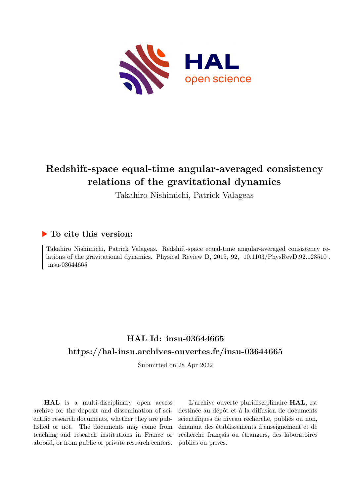

# **Redshift-space equal-time angular-averaged consistency relations of the gravitational dynamics**

Takahiro Nishimichi, Patrick Valageas

# **To cite this version:**

Takahiro Nishimichi, Patrick Valageas. Redshift-space equal-time angular-averaged consistency relations of the gravitational dynamics. Physical Review D, 2015, 92, 10.1103/PhysRevD.92.123510.  $insu-03644665$ 

# **HAL Id: insu-03644665 <https://hal-insu.archives-ouvertes.fr/insu-03644665>**

Submitted on 28 Apr 2022

**HAL** is a multi-disciplinary open access archive for the deposit and dissemination of scientific research documents, whether they are published or not. The documents may come from teaching and research institutions in France or abroad, or from public or private research centers.

L'archive ouverte pluridisciplinaire **HAL**, est destinée au dépôt et à la diffusion de documents scientifiques de niveau recherche, publiés ou non, émanant des établissements d'enseignement et de recherche français ou étrangers, des laboratoires publics ou privés.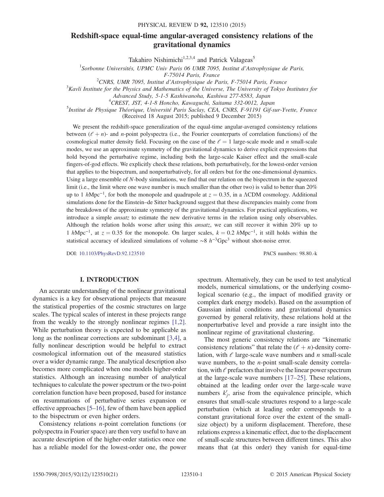# Redshift-space equal-time angular-averaged consistency relations of the gravitational dynamics

Takahiro Nishimichi<sup>1,2,3,4</sup> and Patrick Valageas<sup>5</sup>

 $1$ Sorbonne Universités, UPMC Univ Paris 06 UMR 7095, Institut d'Astrophysique de Paris,

 $F$ -75014 Paris, France<br><sup>2</sup>CNPS JJMP 7005 Institut d'Astrophysique de Pe

<sup>2</sup>CNRS, UMR 7095, Institut d'Astrophysique de Paris, F-75014 Paris, France  $3K$ 

 $K<sup>3</sup>Kavli$  Institute for the Physics and Mathematics of the Universe, The University of Tokyo Institutes for

Advanced Study, 5-1-5 Kashiwanoha, Kashiwa 277-8583, Japan <sup>4</sup>

CREST, JST, 4-1-8 Honcho, Kawaguchi, Saitama 332-0012, Japan <sup>5</sup>

<sup>5</sup>Institut de Physique Théorique, Université Paris Saclay, CEA, CNRS, F-91191 Gif-sur-Yvette, France (Received 18 August 2015; published 9 December 2015)

We present the redshift-space generalization of the equal-time angular-averaged consistency relations between  $(\ell + n)$ - and *n*-point polyspectra (i.e., the Fourier counterparts of correlation functions) of the cosmological matter density field. Focusing on the case of the  $\ell = 1$  large-scale mode and n small-scale modes, we use an approximate symmetry of the gravitational dynamics to derive explicit expressions that hold beyond the perturbative regime, including both the large-scale Kaiser effect and the small-scale fingers-of-god effects. We explicitly check these relations, both perturbatively, for the lowest-order version that applies to the bispectrum, and nonperturbatively, for all orders but for the one-dimensional dynamics. Using a large ensemble of N-body simulations, we find that our relation on the bispectrum in the squeezed limit (i.e., the limit where one wave number is much smaller than the other two) is valid to better than 20% up to 1  $h$ Mpc<sup>-1</sup>, for both the monopole and quadrupole at  $z = 0.35$ , in a ΛCDM cosmology. Additional simulations done for the Einstein–de Sitter background suggest that these discrepancies mainly come from the breakdown of the approximate symmetry of the gravitational dynamics. For practical applications, we introduce a simple ansatz to estimate the new derivative terms in the relation using only observables. Although the relation holds worse after using this ansatz, we can still recover it within 20% up to 1 hMpc<sup>-1</sup>, at  $z = 0.35$  for the monopole. On larger scales,  $k = 0.2$  hMpc<sup>-1</sup>, it still holds within the statistical accuracy of idealized simulations of volume ∼8  $h^{-3}$ Gpc<sup>3</sup> without shot-noise error.

DOI: [10.1103/PhysRevD.92.123510](http://dx.doi.org/10.1103/PhysRevD.92.123510) PACS numbers: 98.80.-k

# I. INTRODUCTION

An accurate understanding of the nonlinear gravitational dynamics is a key for observational projects that measure the statistical properties of the cosmic structures on large scales. The typical scales of interest in these projects range from the weakly to the strongly nonlinear regimes [1,2]. While perturbation theory is expected to be applicable as long as the nonlinear corrections are subdominant [3,4], a fully nonlinear description would be helpful to extract cosmological information out of the measured statistics over a wider dynamic range. The analytical description also becomes more complicated when one models higher-order statistics. Although an increasing number of analytical techniques to calculate the power spectrum or the two-point correlation function have been proposed, based for instance on resummations of perturbative series expansion or effective approaches [5–16], few of them have been applied to the bispectrum or even higher orders.

Consistency relations n-point correlation functions (or polyspectra in Fourier space) are then very useful to have an accurate description of the higher-order statistics once one has a reliable model for the lowest-order one, the power

spectrum. Alternatively, they can be used to test analytical models, numerical simulations, or the underlying cosmological scenario (e.g., the impact of modified gravity or complex dark energy models). Based on the assumption of Gaussian initial conditions and gravitational dynamics governed by general relativity, these relations hold at the nonperturbative level and provide a rare insight into the nonlinear regime of gravitational clustering.

The most generic consistency relations are "kinematic consistency relations" that relate the  $(\ell + n)$ -density correlation, with  $\ell$  large-scale wave numbers and n small-scale wave numbers, to the *n*-point small-scale density correlation, with  $\ell$  prefactors that involve the linear power spectrum at the large-scale wave numbers [17–25]. These relations, obtained at the leading order over the large-scale wave numbers  $k'_j$ , arise from the equivalence principle, which ensures that small-scale structures respond to a large-scale perturbation (which at leading order corresponds to a constant gravitational force over the extent of the smallsize object) by a uniform displacement. Therefore, these relations express a kinematic effect, due to the displacement of small-scale structures between different times. This also means that (at this order) they vanish for equal-time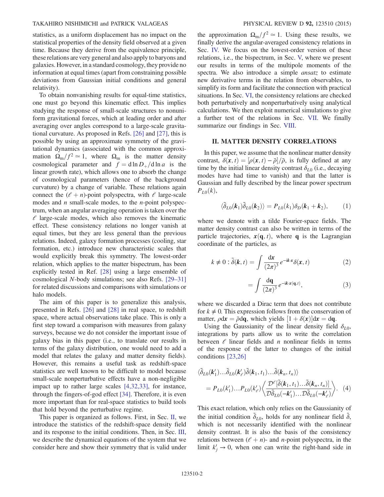# TAKAHIRO NISHIMICHI and PATRICK VALAGEAS PHYSICAL REVIEW D 92, 123510 (2015)

statistics, as a uniform displacement has no impact on the statistical properties of the density field observed at a given time. Because they derive from the equivalence principle, these relations are very general and also apply to baryons and galaxies. However, in a standard cosmology, they provide no information at equal times (apart from constraining possible deviations from Gaussian initial conditions and general relativity).

To obtain nonvanishing results for equal-time statistics, one must go beyond this kinematic effect. This implies studying the response of small-scale structures to nonuniform gravitational forces, which at leading order and after averaging over angles correspond to a large-scale gravitational curvature. As proposed in Refs. [26] and [27], this is possible by using an approximate symmetry of the gravitational dynamics (associated with the common approximation  $\Omega_{\rm m}/f^2 \simeq 1$ , where  $\Omega_{\rm m}$  is the matter density cosmological parameter and  $f = d \ln D_+ / d \ln a$  is the linear growth rate), which allows one to absorb the change of cosmological parameters (hence of the background curvature) by a change of variable. These relations again connect the  $(\ell + n)$ -point polyspectra, with  $\ell$  large-scale modes and  $n$  small-scale modes, to the  $n$ -point polyspectrum, when an angular averaging operation is taken over the  $\ell$  large-scale modes, which also removes the kinematic effect. These consistency relations no longer vanish at equal times, but they are less general than the previous relations. Indeed, galaxy formation processes (cooling, star formation, etc.) introduce new characteristic scales that would explicitly break this symmetry. The lowest-order relation, which applies to the matter bispectrum, has been explicitly tested in Ref. [28] using a large ensemble of cosmological N-body simulations; see also Refs. [29–31] for related discussions and comparisons with simulations or halo models.

The aim of this paper is to generalize this analysis, presented in Refs. [26] and [28] in real space, to redshift space, where actual observations take place. This is only a first step toward a comparison with measures from galaxy surveys, because we do not consider the important issue of galaxy bias in this paper (i.e., to translate our results in terms of the galaxy distribution, one would need to add a model that relates the galaxy and matter density fields). However, this remains a useful task as redshift-space statistics are well known to be difficult to model because small-scale nonperturbative effects have a non-negligible impact up to rather large scales [4,32,33], for instance, through the fingers-of-god effect [34]. Therefore, it is even more important than for real-space statistics to build tools that hold beyond the perturbative regime.

This paper is organized as follows. First, in Sec. II, we introduce the statistics of the redshift-space density field and its response to the initial conditions. Then, in Sec. III, we describe the dynamical equations of the system that we consider here and show their symmetry that is valid under the approximation  $\Omega_{\rm m}/f^2 \simeq 1$ . Using these results, we finally derive the angular-averaged consistency relations in Sec. IV. We focus on the lowest-order version of these relations, i.e., the bispectrum, in Sec. V, where we present our results in terms of the multipole moments of the spectra. We also introduce a simple *ansatz* to estimate new derivative terms in the relation from observables, to simplify its form and facilitate the connection with practical situations. In Sec. VI, the consistency relations are checked both perturbatively and nonperturbatively using analytical calculations. We then exploit numerical simulations to give a further test of the relations in Sec. VII. We finally summarize our findings in Sec. VIII.

# II. MATTER DENSITY CORRELATIONS

In this paper, we assume that the nonlinear matter density contrast,  $\delta(\mathbf{x}, t) = [\rho(\mathbf{x}, t) - \bar{\rho}]/\bar{\rho}$ , is fully defined at any time by the initial linear density contrast  $\delta_{\rm{ce}}$  (i.e. decaying time by the initial linear density contrast  $\delta_{L0}$  (i.e., decaying modes have had time to vanish) and that the latter is Gaussian and fully described by the linear power spectrum  $P_{L0}(k)$ ,

$$
\langle \tilde{\delta}_{L0}(k_1)\tilde{\delta}_{L0}(k_2)\rangle = P_{L0}(k_1)\delta_D(k_1+k_2),\tag{1}
$$

where we denote with a tilde Fourier-space fields. The matter density contrast can also be written in terms of the particle trajectories,  $x(\mathbf{q}, t)$ , where **q** is the Lagrangian coordinate of the particles, as

$$
k \neq 0: \tilde{\delta}(k, t) = \int \frac{\mathrm{d}x}{(2\pi)^3} e^{-ikx} \delta(x, t) \tag{2}
$$

$$
=\int \frac{\mathrm{d}\mathbf{q}}{(2\pi)^3} e^{-\mathrm{i}k \cdot \mathbf{x}(\mathbf{q},t)},\tag{3}
$$

where we discarded a Dirac term that does not contribute for  $k \neq 0$ . This expression follows from the conservation of matter,  $\rho d\mathbf{x} = \bar{\rho} d\mathbf{q}$ , which yields  $[1 + \delta(\mathbf{x})]d\mathbf{x} = d\mathbf{q}$ .<br>
Using the Gaussianity of the linear density field

Using the Gaussianity of the linear density field  $\delta_{L0}$ , integrations by parts allow us to write the correlation between  $\ell$  linear fields and n nonlinear fields in terms of the response of the latter to changes of the initial conditions [23,26]

$$
\langle \tilde{\delta}_{L0}(\mathbf{k}'_1) \dots \tilde{\delta}_{L0}(\mathbf{k}'_{\ell}) \tilde{\delta}(\mathbf{k}_1, t_1) \dots \tilde{\delta}(\mathbf{k}_n, t_n) \rangle
$$
  
=  $P_{L0}(k'_1) \dots P_{L0}(k'_{\ell}) \langle \frac{\mathcal{D}^{\ell}[\tilde{\delta}(\mathbf{k}_1, t_1) \dots \tilde{\delta}(\mathbf{k}_n, t_n)]}{\mathcal{D}\tilde{\delta}_{L0}(-\mathbf{k}'_1) \dots \mathcal{D}\tilde{\delta}_{L0}(-\mathbf{k}'_{\ell})} \rangle.$  (4)

This exact relation, which only relies on the Gaussianity of the initial condition  $\tilde{\delta}_{L0}$ , holds for any nonlinear field  $\tilde{\delta}$ , which is not necessarily identified with the nonlinear density contrast. It is also the basis of the consistency relations between  $(l + n)$ - and *n*-point polyspectra, in the limit  $k'_j \rightarrow 0$ , when one can write the right-hand side in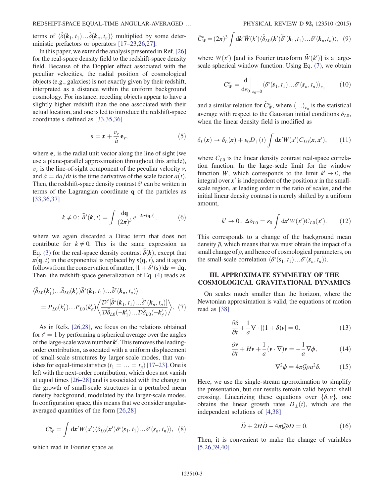terms of  $\langle \tilde{\delta}(\mathbf{k}_1, t_1) \dots \tilde{\delta}(\mathbf{k}_n, t_n) \rangle$  multiplied by some deter-<br>ministic prefactors or operators [17–23.26.27] ministic prefactors or operators [17–23,26,27].

In this paper, we extend the analysis presented in Ref.[26] for the real-space density field to the redshift-space density field. Because of the Doppler effect associated with the peculiar velocities, the radial position of cosmological objects (e.g., galaxies) is not exactly given by their redshift, interpreted as a distance within the uniform background cosmology. For instance, receding objects appear to have a slightly higher redshift than the one associated with their actual location, and one is led to introduce the redshift-space coordinate s defined as [33,35,36]

$$
s = x + \frac{v_r}{\dot{a}} \mathbf{e}_r,\tag{5}
$$

where  $e<sub>r</sub>$  is the radial unit vector along the line of sight (we use a plane-parallel approximation throughout this article),  $v_r$  is the line-of-sight component of the peculiar velocity  $v$ , and  $\dot{a} = da/dt$  is the time derivative of the scale factor  $a(t)$ . Then, the redshift-space density contrast  $\delta^s$  can be written in terms of the Lagrangian coordinate q of the particles as [33,36,37]

$$
k \neq 0: \tilde{\delta}^s(\mathbf{k}, t) = \int \frac{\mathrm{d}\mathbf{q}}{(2\pi)^3} e^{-i\mathbf{k}\cdot\mathbf{s}(\mathbf{q}, t)}, \tag{6}
$$

where we again discarded a Dirac term that does not contribute for  $k \neq 0$ . This is the same expression as Eq. (3) for the real-space density contrast  $\tilde{\delta}(k)$ , except that  $\mathbf{r}(\mathbf{a}, t)$  in the exponential is replaced by  $\mathbf{s}(\mathbf{a}, t)$  and it again  $x(\mathbf{q}, t)$  in the exponential is replaced by  $s(\mathbf{q}, t)$ , and it again follows from the conservation of matter,  $[1 + \delta^s(s)]ds = dq$ .<br>Then, the redshift-space generalization of Eq. (4) reads as Then, the redshift-space generalization of Eq. (4) reads as

$$
\langle \tilde{\delta}_{L0}(\mathbf{k}'_1) \dots \tilde{\delta}_{L0}(\mathbf{k}'_{\ell}) \tilde{\delta}^s(\mathbf{k}_1, t_1) \dots \tilde{\delta}^s(\mathbf{k}_n, t_n) \rangle
$$
  
=  $P_{L0}(k'_1) \dots P_{L0}(k'_{\ell}) \langle \frac{\mathcal{D}^{\ell}[\tilde{\delta}^s(\mathbf{k}_1, t_1) \dots \tilde{\delta}^s(\mathbf{k}_n, t_n)]}{\mathcal{D}\tilde{\delta}_{L0}(-\mathbf{k}'_1) \dots \mathcal{D}\tilde{\delta}_{L0}(-\mathbf{k}'_{\ell})} \rangle.$  (7)

As in Refs. [26,28], we focus on the relations obtained for  $\ell = 1$  by performing a spherical average over the angles of the large-scale wave number  $k'$ . This removes the leadingorder contribution, associated with a uniform displacement of small-scale structures by larger-scale modes, that vanishes for equal-time statistics  $(t_1 = ... = t_n)$  [17–23]. One is left with the next-order contribution, which does not vanish at equal times [26–28] and is associated with the change to the growth of small-scale structures in a perturbed mean density background, modulated by the larger-scale modes. In configuration space, this means that we consider angularaveraged quantities of the form [26,28]

$$
C_W^n = \int dx' W(x') \langle \delta_{L0}(x') \delta^s(s_1, t_1) \dots \delta^s(s_n, t_n) \rangle, \quad (8)
$$

which read in Fourier space as

$$
\tilde{C}_W^n = (2\pi)^3 \int \mathrm{d}\mathbf{k}' \tilde{W}(k') \langle \tilde{\delta}_{L0}(\mathbf{k}') \tilde{\delta}^s(\mathbf{k}_1, t_1) \dots \delta^s(\mathbf{k}_n, t_n) \rangle, \tag{9}
$$

where  $W(x')$  [and its Fourier transform  $\tilde{W}(k')$ ] is a large-<br>scale spherical window function Using Eq. (7), we obtain scale spherical window function. Using Eq. (7), we obtain

$$
C_W^n = \frac{\mathrm{d}}{\mathrm{d}\varepsilon_0}\bigg|_{\varepsilon_0=0} \langle \delta^s(s_1, t_1) \dots \delta^s(s_n, t_n) \rangle_{\varepsilon_0} \qquad (10)
$$

and a similar relation for  $\tilde{C}^n_{W}$ , where  $\langle \ldots \rangle_{\varepsilon_0}$  is the statistical<br>average with respect to the Gaussian initial conditions  $\delta$ average with respect to the Gaussian initial conditions  $\delta_{L0}$ , when the linear density field is modified as

$$
\delta_L(\mathbf{x}) \to \delta_L(\mathbf{x}) + \varepsilon_0 D_+(\mathit{t}) \int d\mathbf{x}' W(\mathit{x}') C_{L0}(\mathit{x}, \mathit{x}'), \qquad (11)
$$

where  $C_{L0}$  is the linear density contrast real-space correlation function. In the large-scale limit for the window function W, which corresponds to the limit  $k' \rightarrow 0$ , the integral over  $x'$  is independent of the position x in the smallscale region, at leading order in the ratio of scales, and the initial linear density contrast is merely shifted by a uniform amount,

$$
k' \to 0: \ \Delta \delta_{L0} = \varepsilon_0 \int \mathrm{d}\mathbf{x}' W(x') C_{L0}(x'). \tag{12}
$$

This corresponds to a change of the background mean density  $\bar{\rho}$ , which means that we must obtain the impact of a small change of  $\bar{\rho}$ , and hence of cosmological parameters, on the small-scale correlation  $\langle \delta^s(\mathbf{s}_1, t_1) \dots \delta^s(\mathbf{s}_n, t_n) \rangle$ .

# III. APPROXIMATE SYMMETRY OF THE COSMOLOGICAL GRAVITATIONAL DYNAMICS

On scales much smaller than the horizon, where the Newtonian approximation is valid, the equations of motion read as [38]

$$
\frac{\partial \delta}{\partial t} + \frac{1}{a} \nabla \cdot [(1+\delta)\mathbf{v}] = 0,\tag{13}
$$

$$
\frac{\partial v}{\partial t} + Hv + \frac{1}{a} (v \cdot \nabla)v = -\frac{1}{a} \nabla \phi,
$$
 (14)

$$
\nabla^2 \phi = 4\pi \mathcal{G} \bar{\rho} a^2 \delta. \tag{15}
$$

Here, we use the single-stream approximation to simplify the presentation, but our results remain valid beyond shell crossing. Linearizing these equations over  $\{\delta, v\}$ , one obtains the linear growth rates  $D_{+}(t)$ , which are the independent solutions of [4,38]

$$
\ddot{D} + 2H\dot{D} - 4\pi \mathcal{G}\bar{\rho}D = 0. \tag{16}
$$

Then, it is convenient to make the change of variables [5,26,39,40]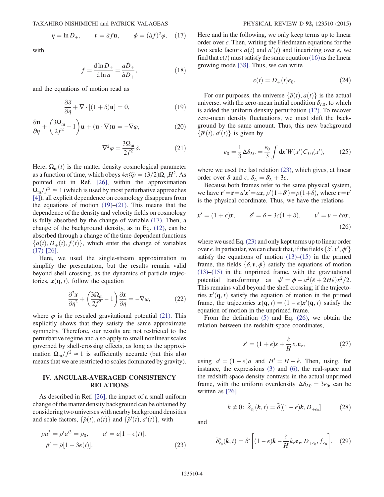$$
\eta = \ln D_+, \qquad \nu = \dot{a}f\mathbf{u}, \qquad \phi = (\dot{a}f)^2 \varphi, \quad (17)
$$

with

$$
f = \frac{\mathrm{d}\ln D_+}{\mathrm{d}\ln a} = \frac{a\dot{D}_+}{\dot{a}D_+},\tag{18}
$$

and the equations of motion read as

$$
\frac{\partial \delta}{\partial \eta} + \nabla \cdot [(1 + \delta)\mathbf{u}] = 0, \tag{19}
$$

$$
\frac{\partial \mathbf{u}}{\partial \eta} + \left(\frac{3\Omega_{\rm m}}{2f^2} - 1\right)\mathbf{u} + (\mathbf{u} \cdot \nabla)\mathbf{u} = -\nabla \varphi,\tag{20}
$$

$$
\nabla^2 \varphi = \frac{3\Omega_{\rm m}}{2f^2} \delta. \tag{21}
$$

Here,  $\Omega_{\rm m}(t)$  is the matter density cosmological parameter as a function of time, which obeys  $4\pi\mathcal{G}\bar{\rho} = (3/2)\Omega_{\rm m}H^2$ . As pointed out in Ref. [26], within the approximation  $\Omega_{\rm m}/f^2 \simeq 1$  (which is used by most perturbative approaches [4]), all explicit dependence on cosmology disappears from the equations of motion  $(19)$ – $(21)$ . This means that the dependence of the density and velocity fields on cosmology is fully absorbed by the change of variable (17). Then, a change of the background density, as in Eq. (12), can be absorbed through a change of the time-dependent functions  ${a(t), D_{+}(t), f(t)}$ , which enter the change of variables (17) [26].

Here, we used the single-stream approximation to simplify the presentation, but the results remain valid beyond shell crossing, as the dynamics of particle trajectories,  $x(\mathbf{q}, t)$ , follow the equation

$$
\frac{\partial^2 \mathbf{x}}{\partial \eta^2} + \left(\frac{3\Omega_{\rm m}}{2f^2} - 1\right) \frac{\partial \mathbf{x}}{\partial \eta} = -\nabla \varphi,\tag{22}
$$

where  $\varphi$  is the rescaled gravitational potential (21). This explicitly shows that they satisfy the same approximate symmetry. Therefore, our results are not restricted to the perturbative regime and also apply to small nonlinear scales governed by shell-crossing effects, as long as the approximation  $\Omega_{\rm m}/f^2 \simeq 1$  is sufficiently accurate (but this also means that we are restricted to scales dominated by gravity).

# IV. ANGULAR-AVERAGED CONSISTENCY RELATIONS

As described in Ref. [26], the impact of a small uniform change of the matter density background can be obtained by considering two universes with nearby background densities and scale factors,  $\{\bar{\rho}(t), a(t)\}$  and  $\{\bar{\rho}'(t), a'(t)\}$ , with

$$
\bar{\rho}a^3 = \bar{\rho}'a'^3 = \bar{\rho}_0, \qquad a' = a[1 - \epsilon(t)],
$$
  

$$
\bar{\rho}' = \bar{\rho}[1 + 3\epsilon(t)].
$$
\n(23)

Here and in the following, we only keep terms up to linear order over  $\epsilon$ . Then, writing the Friedmann equations for the two scale factors  $a(t)$  and  $a'(t)$  and linearizing over  $\epsilon$ , we find that  $\epsilon(t)$  must satisfy the same equation (16) as the linear find that  $\epsilon(t)$  must satisfy the same equation (16) as the linear growing mode [38]. Thus, we can write

$$
\epsilon(t) = D_+(t)\epsilon_0. \tag{24}
$$

For our purposes, the universe  $\{\bar{\rho}(t), a(t)\}\$ is the actual universe, with the zero-mean initial condition  $\delta_{L0}$ , to which is added the uniform density perturbation (12). To recover zero-mean density fluctuations, we must shift the background by the same amount. Thus, this new background  $\{\bar{\rho}'(t), a'(t)\}\$ is given by

$$
\epsilon_0 = \frac{1}{3} \Delta \delta_{L0} = \frac{\epsilon_0}{3} \int \mathrm{d}\mathbf{x}' W(x') C_{L0}(x'),\tag{25}
$$

where we used the last relation  $(23)$ , which gives, at linear order over  $\delta$  and  $\epsilon$ ,  $\delta_L = \delta'_L + 3\epsilon$ .<br>Because both frames refer to the

Because both frames refer to the same physical system, we have  $\mathbf{r}' = \mathbf{r} = a'\mathbf{x}' = a\mathbf{x}$ ,  $\bar{\rho}'(1+\delta') = \bar{\rho}(1+\delta)$ , where  $\mathbf{r} = \mathbf{r}'$  is the physical coordinate. Thus, we have the relations is the physical coordinate. Thus, we have the relations

$$
\mathbf{x}' = (1 + \epsilon)\mathbf{x}, \qquad \delta' = \delta - 3\epsilon(1 + \delta), \qquad \mathbf{v}' = \mathbf{v} + \dot{\epsilon}a\mathbf{x},
$$
\n(26)

where we used Eq. (23) and only kept terms up to linear order over  $\epsilon$ . In particular, we can check that, if the fields  $\{\delta', v', \phi'\}$  satisfy the equations of motion (13)–(15) in the prime satisfy the equations of motion  $(13)$ – $(15)$  in the primed frame, the fields  $\{\delta, v, \phi\}$  satisfy the equations of motion  $(13)$ – $(15)$  in the unprimed frame, with the gravitational potential transforming as  $\phi' = \phi - a^2(\ddot{\epsilon} + 2H\dot{\epsilon})x^2/2$ . This remains valid beyond the shell crossing; if the trajectories  $x'(\mathbf{q}, t)$  satisfy the equation of motion in the primed<br>frame the trajectories  $\mathbf{r}(\mathbf{q}, t) = (1 - \epsilon)\mathbf{r}'(\mathbf{q}, t)$  satisfy the frame, the trajectories  $x(\mathbf{q}, t) = (1 - \epsilon)x'(\mathbf{q}, t)$  satisfy the equation of motion in the unprimed frame equation of motion in the unprimed frame.

From the definition (5) and Eq. (26), we obtain the relation between the redshift-space coordinates,

$$
\mathbf{s}' = (1+\epsilon)\mathbf{s} + \frac{\dot{\epsilon}}{H} s_r \mathbf{e}_r,\tag{27}
$$

using  $a' = (1 - \epsilon)a$  and  $H' = H - \dot{\epsilon}$ . Then, using, for instance, the expressions (3) and (6), the real-space and the redshift-space density contrasts in the actual unprimed frame, with the uniform overdensity  $\Delta \delta_{L0} = 3\epsilon_0$ , can be written as [26]

$$
k \neq 0: \tilde{\delta}_{\epsilon_0}(k, t) = \tilde{\delta}[(1 - \epsilon)k, D_{+\epsilon_0}] \tag{28}
$$

and

$$
\tilde{\delta}_{\varepsilon_0}^s(\boldsymbol{k},t) = \tilde{\delta}^s \bigg[ (1-\epsilon)\boldsymbol{k} - \frac{\dot{\epsilon}}{H} k_r \mathbf{e}_r, D_{+\varepsilon_0}, f_{\varepsilon_0} \bigg], \quad (29)
$$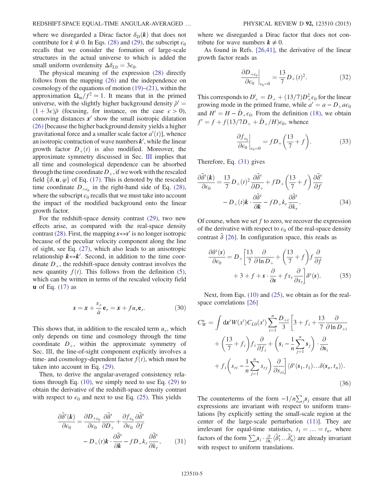where we disregarded a Dirac factor  $\delta_D(\mathbf{k})$  that does not contribute for  $k \neq 0$ . In Eqs. (28) and (29), the subscript  $\epsilon_0$ recalls that we consider the formation of large-scale structures in the actual universe to which is added the small uniform overdensity  $\Delta \delta_{L0} = 3\epsilon_0$ .

The physical meaning of the expression (28) directly follows from the mapping (26) and the independence on cosmology of the equations of motion  $(19)$ – $(21)$ , within the approximation  $\Omega_{\rm m}/f^2 \simeq 1$ . It means that in the primed universe, with the slightly higher background density  $\bar{\rho}' =$  $(1 + 3\epsilon)\bar{\rho}$  (focusing, for instance, on the case  $\epsilon > 0$ ), comoving distances  $x<sup>′</sup>$  show the small isotropic dilatation (26) [because the higher background density yields a higher gravitational force and a smaller scale factor  $a'(t)$ , whence<br>an isotropic contraction of wave numbers  $\mathbf{k}'$  while the linear an isotropic contraction of wave numbers  $k'$ , while the linear growth factor  $D_{+}(t)$  is also modified. Moreover, the approximate symmetry discussed in Sec. III implies that all time and cosmological dependence can be absorbed through the time coordinate  $D_+$ , if we work with the rescaled field  $\{\delta, \mathbf{u}, \varphi\}$  of Eq. (17). This is denoted by the rescaled time coordinate  $D_{+\epsilon_0}$  in the right-hand side of Eq. (28), where the subscript  $\epsilon_0$  recalls that we must take into account the impact of the modified background onto the linear growth factor.

For the redshift-space density contrast (29), two new effects arise, as compared with the real-space density contrast (28). First, the mapping  $s \leftrightarrow s'$  is no longer isotropic because of the peculiar velocity component along the line of sight, see Eq. (27), which also leads to an anisotropic relationship  $k \leftrightarrow k'$ . Second, in addition to the time coordinate  $D_{+}$ , the redshift-space density contrast involves the new quantity  $f(t)$ . This follows from the definition (5), which can be written in terms of the rescaled velocity field  $\bf{u}$  of Eq. (17) as

$$
s = x + \frac{v_r}{\dot{a}} \mathbf{e}_r = x + fu_r \mathbf{e}_r.
$$
 (30)

This shows that, in addition to the rescaled term  $u_r$ , which only depends on time and cosmology through the time coordinate  $D_{+}$ , within the approximate symmetry of Sec. III, the line-of-sight component explicitly involves a time- and cosmology-dependent factor  $f(t)$ , which must be taken into account in Eq. (29).

Then, to derive the angular-averaged consistency relations through Eq. (10), we simply need to use Eq. (29) to obtain the derivative of the redshift-space density contrast with respect to  $\epsilon_0$  and next to use Eq. (25). This yields

$$
\frac{\partial \tilde{\delta}^s(\mathbf{k})}{\partial \epsilon_0} = \frac{\partial D_{+\epsilon_0}}{\partial \epsilon_0} \frac{\partial \tilde{\delta}^s}{\partial D_+} + \frac{\partial f_{\epsilon_0}}{\partial \epsilon_0} \frac{\partial \tilde{\delta}^s}{\partial f} \n- D_+(t)\mathbf{k} \cdot \frac{\partial \tilde{\delta}^s}{\partial \mathbf{k}} - f D_+ k_r \frac{\partial \tilde{\delta}^s}{\partial k_r},
$$
\n(31)

where we disregarded a Dirac factor that does not contribute for wave numbers  $k \neq 0$ .

As found in Refs. [26,41], the derivative of the linear growth factor reads as

$$
\left. \frac{\partial D_{+\epsilon_0}}{\partial \epsilon_0} \right|_{\epsilon_0 = 0} = \frac{13}{7} D_+(t)^2. \tag{32}
$$

This corresponds to  $D'_{+} = D_{+} + (13/7)D_{+}^{2}\epsilon_{0}$  for the linear<br>growing mode in the primed frame, while  $a' = a - D_{+} a \epsilon_{0}$ growing mode in the primed frame, while  $a' = a - D_+ a \epsilon_0$ and  $H' = H - \dot{D}_{+} \epsilon_0$ . From the definition (18), we obtain  $f' = f + f(13/7D_+ + D_+/H)\epsilon_0$ , whence

$$
\left. \frac{\partial f_{\epsilon_0}}{\partial \epsilon_0} \right|_{\epsilon_0 = 0} = f D_+ \left( \frac{13}{7} + f \right). \tag{33}
$$

Therefore, Eq. (31) gives

$$
\frac{\partial \tilde{\delta}^s(\mathbf{k})}{\partial \epsilon_0} = \frac{13}{7} D_+(t)^2 \frac{\partial \tilde{\delta}^s}{\partial D_+} + f D_+\left(\frac{13}{7} + f\right) \frac{\partial \tilde{\delta}^s}{\partial f}
$$

$$
- D_+(t) \mathbf{k} \cdot \frac{\partial \tilde{\delta}^s}{\partial \mathbf{k}} - f D_+ k_r \frac{\partial \tilde{\delta}^s}{\partial k_r}.
$$
(34)

Of course, when we set  $f$  to zero, we recover the expression of the derivative with respect to  $\epsilon_0$  of the real-space density contrast  $\tilde{\delta}$  [26]. In configuration space, this reads as

$$
\frac{\partial \delta^s(s)}{\partial \epsilon_0} = D_+ \left[ \frac{13}{7} \frac{\partial}{\partial \ln D_+} + \left( \frac{13}{7} + f \right) f \frac{\partial}{\partial f} + 3 + f + s \cdot \frac{\partial}{\partial s} + f s_r \frac{\partial}{\partial s_r} \right] \delta^s(s).
$$
 (35)

Next, from Eqs. (10) and (25), we obtain as for the realspace correlations [26]

$$
C_W^n = \int dx' W(x') C_{L0}(x') \sum_{i=1}^n \frac{D_{+i}}{3} \left[ 3 + f_i + \frac{13}{7} \frac{\partial}{\partial \ln D_{+i}} \right. + \left( \frac{13}{7} + f_i \right) f_i \frac{\partial}{\partial f_i} + \left( s_i - \frac{1}{n} \sum_{j=1}^n s_j \right) \cdot \frac{\partial}{\partial s_i} + f_i \left( s_{ri} - \frac{1}{n} \sum_{j=1}^n s_{rj} \right) \frac{\partial}{\partial s_{ri}} \left| \langle \delta^s(s_1, t_1) \dots \delta(s_n, t_n) \rangle. \tag{36}
$$

The counterterms of the form  $-1/n\sum_j s_j$  ensure that all expressions are invariant with respect to uniform translations [by explicitly setting the small-scale region at the center of the large-scale perturbation (11)]. They are irrelevant for equal-time statistics,  $t_1 = ... = t_n$ , where factors of the form  $\sum_i s_i \cdot \frac{\partial}{\partial s_i} \langle \tilde{\delta}_1^s ... \tilde{\delta}_n^s \rangle$  are already invariant with respect to uniform translations.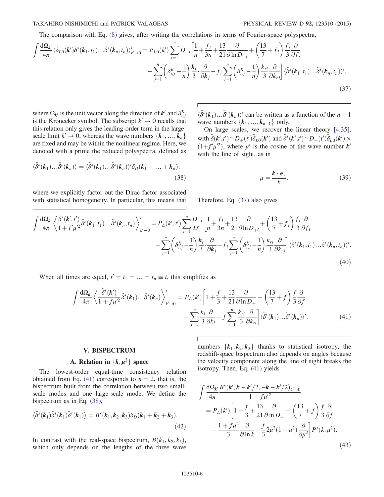#### TAKAHIRO NISHIMICHI and PATRICK VALAGEAS PHYSICAL REVIEW D 92, 123510 (2015)

The comparison with Eq. (8) gives, after writing the correlations in terms of Fourier-space polyspectra,

$$
\int \frac{d\Omega_{k'}}{4\pi} \langle \tilde{\delta}_{L0}(k') \tilde{\delta}^{s}(k_{1}, t_{1}) \dots \tilde{\delta}^{s}(k_{n}, t_{n}) \rangle'_{k' \to 0} = P_{L0}(k') \sum_{i=1}^{n} D_{+i} \left[ \frac{1}{n} + \frac{f_{i}}{3n} + \frac{13}{21} \frac{\partial}{\partial \ln D_{+i}} + \left( \frac{13}{7} + f_{i} \right) \frac{f_{i}}{3} \frac{\partial}{\partial f_{i}} - \sum_{j=1}^{n} \left( \delta_{i,j}^{K} - \frac{1}{n} \right) \frac{k_{i}}{3} \cdot \frac{\partial}{\partial k_{j}} - f_{i} \sum_{j=1}^{n} \left( \delta_{i,j}^{K} - \frac{1}{n} \right) \frac{k_{ri}}{3} \frac{\partial}{\partial k_{rj}} \right] \langle \tilde{\delta}^{s}(k_{1}, t_{1}) \dots \tilde{\delta}^{s}(k_{n}, t_{n}) \rangle',
$$
\n(37)

where  $\Omega_{k'}$  is the unit vector along the direction of  $k'$  and  $\delta_{i,j}^K$ is the Kronecker symbol. The subscript  $k' \rightarrow 0$  recalls that this relation only gives the leading-order term in the largescale limit  $k' \rightarrow 0$ , whereas the wave numbers  $\{k_1, ..., k_n\}$ are fixed and may be within the nonlinear regime. Here, we denoted with a prime the reduced polyspectra, defined as

$$
\langle \tilde{\delta}^s(\boldsymbol{k}_1) \dots \tilde{\delta}^s(\boldsymbol{k}_n) \rangle = \langle \tilde{\delta}^s(\boldsymbol{k}_1) \dots \tilde{\delta}^s(\boldsymbol{k}_n) \rangle' \delta_D(\boldsymbol{k}_1 + \dots + \boldsymbol{k}_n),
$$
\n(38)

where we explicitly factor out the Dirac factor associated with statistical homogeneity. In particular, this means that

 $\langle \tilde{\delta}^s(\mathbf{k}_1) \dots \tilde{\delta}^s(\mathbf{k}_n) \rangle'$  can be written as a function of the  $n-1$ <br>wave numbers  $\{ \mathbf{k}, \dots, \mathbf{k} \}$  only wave numbers  $\{k_1, \ldots, k_{n-1}\}\$  only.

On large scales, we recover the linear theory [4,35], with  $\tilde{\delta}(k',t') \approx D_+(t') \tilde{\delta}_{L0}(k')$  and  $\tilde{\delta}^s(k',t') \approx D_+(t') \tilde{\delta}_{L0}(k') \times$ <br>(1+ $f'(n'^2)$ ) where u' is the cosine of the wave number  $k'$  $(1+f'\mu'^2)$ , where  $\mu'$  is the cosine of the wave number **k**' with the line of sight as in with the line of sight, as in

$$
\mu = \frac{k \cdot e_r}{k}.\tag{39}
$$

Therefore, Eq. (37) also gives

$$
\int \frac{d\Omega_{k'}}{4\pi} \left\langle \frac{\tilde{\delta}^{s}(k',t')}{1+f'\mu'^{2}} \tilde{\delta}^{s}(k_{1},t_{1}) \dots \tilde{\delta}^{s}(k_{n},t_{n}) \right\rangle_{k'\to 0}^{\prime} = P_{L}(k',t') \sum_{i=1}^{n} \frac{D_{+i}}{D'_{+}} \left[ \frac{1}{n} + \frac{f_{i}}{3n} + \frac{13}{21} \frac{\partial}{\partial \ln D_{+i}} + \left( \frac{13}{7} + f_{i} \right) \frac{f_{i}}{3} \frac{\partial}{\partial f_{i}} - \sum_{j=1}^{n} \left( \delta_{i,j}^{K} - \frac{1}{n} \right) \frac{k_{i}}{3} \frac{\partial}{\partial k_{r}} - f_{i} \sum_{j=1}^{n} \left( \delta_{i,j}^{K} - \frac{1}{n} \right) \frac{k_{ri}}{3} \frac{\partial}{\partial k_{rj}} \right] \langle \tilde{\delta}^{s}(k_{1},t_{1}) \dots \tilde{\delta}^{s}(k_{n},t_{n}) \rangle^{\prime}.
$$
\n(40)

When all times are equal,  $t' = t_1 = \ldots = t_n \equiv t$ , this simplifies as

$$
\int \frac{d\Omega_{k'}}{4\pi} \left\langle \frac{\tilde{\delta}^{s}(k')}{1 + f\mu'^{2}} \tilde{\delta}^{s}(k_{1}) \dots \tilde{\delta}^{s}(k_{n}) \right\rangle_{k' \to 0}^{\prime} = P_{L}(k') \left[ 1 + \frac{f}{3} + \frac{13}{21} \frac{\partial}{\partial \ln D_{+}} + \left( \frac{13}{7} + f \right) \frac{f}{3} \frac{\partial}{\partial f} - \sum_{i=1}^{n} \frac{k_{i}}{3} \frac{\partial}{\partial k_{i}} - f \sum_{i=1}^{n} \frac{k_{ri}}{3} \frac{\partial}{\partial k_{ri}} \right] \langle \tilde{\delta}^{s}(k_{1}) \dots \tilde{\delta}^{s}(k_{n}) \rangle^{\prime}.
$$
 (41)

### V. BISPECTRUM

# A. Relation in  $\{k, \mu^2\}$  space

The lowest-order equal-time consistency relation obtained from Eq. (41) corresponds to  $n = 2$ , that is, the bispectrum built from the correlation between two smallscale modes and one large-scale mode. We define the bispectrum as in Eq. (38),

$$
\langle \tilde{\delta}^s(\boldsymbol{k}_1) \tilde{\delta}^s(\boldsymbol{k}_1) \tilde{\delta}^s(\boldsymbol{k}_1) \rangle = B^s(\boldsymbol{k}_1, \boldsymbol{k}_2, \boldsymbol{k}_3) \delta_D(\boldsymbol{k}_1 + \boldsymbol{k}_2 + \boldsymbol{k}_3). \tag{42}
$$

In contrast with the real-space bispectrum,  $B(k_1, k_2, k_3)$ , which only depends on the lengths of the three wave numbers  $\{k_1, k_2, k_3\}$  thanks to statistical isotropy, the redshift-space bispectrum also depends on angles because the velocity component along the line of sight breaks the isotropy. Then, Eq. (41) yields

$$
\int \frac{d\Omega_{k'}}{4\pi} \frac{B^{s}(k', k - k'/2, -k - k'/2)_{k' \to 0}}{1 + f\mu'^{2}} \n= P_{L}(k') \left[ 1 + \frac{f}{3} + \frac{13}{21} \frac{\partial}{\partial \ln D_{+}} + \left( \frac{13}{7} + f \right) \frac{f}{3} \frac{\partial}{\partial f} \n- \frac{1 + f\mu^{2}}{3} \frac{\partial}{\partial \ln k} - \frac{f}{3} 2\mu^{2} (1 - \mu^{2}) \frac{\partial}{\partial \mu^{2}} \right] P^{s}(k, \mu^{2}).
$$
\n(43)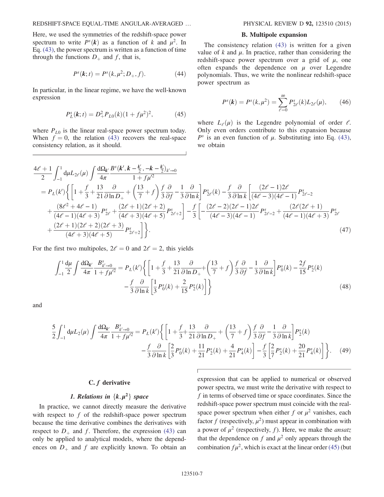Here, we used the symmetries of the redshift-space power spectrum to write  $P<sup>s</sup>(k)$  as a function of k and  $\mu<sup>2</sup>$ . In Eq. (43), the power spectrum is written as a function of time through the functions  $D_+$  and f, that is,

$$
P^{s}(k; t) = P^{s}(k, \mu^{2}; D_{+}, f).
$$
 (44)

In particular, in the linear regime, we have the well-known expression

$$
P_L^s(\mathbf{k};t) = D_+^2 P_{L0}(k)(1 + f\mu^2)^2, \tag{45}
$$

where  $P_{L0}$  is the linear real-space power spectrum today. When  $f = 0$ , the relation (43) recovers the real-space consistency relation, as it should.

#### B. Multipole expansion

The consistency relation (43) is written for a given value of k and  $\mu$ . In practice, rather than considering the redshift-space power spectrum over a grid of  $\mu$ , one often expands the dependence on  $\mu$  over Legendre polynomials. Thus, we write the nonlinear redshift-space power spectrum as

$$
P^{s}(k) = P^{s}(k, \mu^{2}) = \sum_{\ell=0}^{\infty} P^{s}_{2\ell}(k) L_{2\ell}(\mu), \qquad (46)
$$

where  $L_{\ell}(\mu)$  is the Legendre polynomial of order  $\ell$ . Only even orders contribute to this expansion because  $P<sup>s</sup>$  is an even function of  $\mu$ . Substituting into Eq. (43), we obtain

$$
\frac{4\ell+1}{2} \int_{-1}^{1} d\mu L_{2\ell}(\mu) \int \frac{d\Omega_{k'}}{4\pi} \frac{B^{s}(k', k-\frac{k'}{2}, -k-\frac{k'}{2})_{k'\to 0}}{1+f\mu'^{2}}
$$
\n
$$
= P_{L}(k') \Biggl\{ \Biggl[ 1 + \frac{f}{3} + \frac{13}{21} \frac{\partial}{\partial \ln D_{+}} + \Biggl( \frac{13}{7} + f \Biggr) \frac{f}{3} \frac{\partial}{\partial f} - \frac{1}{3} \frac{\partial}{\partial \ln k} \Biggr] P_{2\ell}^{s}(k) - \frac{f}{3} \frac{\partial}{\partial \ln k} \Biggl[ \frac{(2\ell-1)2\ell}{(4\ell-3)(4\ell-1)} P_{2\ell-2}^{s} + \frac{(8\ell^{2}+4\ell-1)}{(4\ell-1)(4\ell+3)} P_{2\ell}^{s} + \frac{(2\ell+1)(2\ell+2)}{(4\ell+3)(4\ell+5)} P_{2\ell+2}^{s} \Biggr] - \frac{f}{3} \Biggl[ -\frac{(2\ell-2)(2\ell-1)2\ell}{(4\ell-3)(4\ell-1)} P_{2\ell-2}^{s} + \frac{(2\ell(2\ell+1))}{(4\ell-1)(4\ell+3)} P_{2\ell}^{s} + \frac{(2\ell+1)(2\ell+2)(2\ell+3)}{(4\ell+3)(4\ell+5)} P_{2\ell+2}^{s} \Biggr] \Biggr\} . \tag{47}
$$

For the first two multipoles,  $2\ell = 0$  and  $2\ell = 2$ , this yields

$$
\int_{-1}^{1} \frac{d\mu}{2} \int \frac{d\Omega_{k'}}{4\pi} \frac{B_{k'\to 0}^s}{1 + f\mu'^2} = P_L(k') \left\{ \left[ 1 + \frac{f}{3} + \frac{13}{21} \frac{\partial}{\partial \ln D_+} + \left( \frac{13}{7} + f \right) \frac{f}{3} \frac{\partial}{\partial f} - \frac{1}{3} \frac{\partial}{\partial \ln k} \right] P_0^s(k) - \frac{2f}{15} P_2^s(k) - \frac{f}{3} \frac{\partial}{\partial \ln k} \left[ \frac{1}{3} P_0^s(k) + \frac{2}{15} P_2^s(k) \right] \right\} \tag{48}
$$

and

$$
\frac{5}{2} \int_{-1}^{1} d\mu L_{2}(\mu) \int \frac{d\Omega_{k'}}{4\pi} \frac{B_{k'\to 0}^{s}}{1 + f\mu'^{2}} = P_{L}(k') \left\{ \left[ 1 + \frac{f}{3} + \frac{13}{21} \frac{\partial}{\partial \ln D_{+}} + \left( \frac{13}{7} + f \right) \frac{f}{3} \frac{\partial}{\partial f} - \frac{1}{3} \frac{\partial}{\partial \ln k} \right] P_{2}^{s}(k) - \frac{f}{3} \frac{\partial}{\partial \ln k} \left[ \frac{2}{3} P_{0}^{s}(k) + \frac{11}{21} P_{2}^{s}(k) + \frac{4}{21} P_{4}^{s}(k) \right] - \frac{f}{3} \left[ \frac{2}{7} P_{2}^{s}(k) + \frac{20}{21} P_{4}^{s}(k) \right] \right\}.
$$
 (49)

# C. f derivative

# 1. Relations in  $\{k, \mu^2\}$  space

In practice, we cannot directly measure the derivative with respect to  $f$  of the redshift-space power spectrum because the time derivative combines the derivatives with respect to  $D_+$  and f. Therefore, the expression (43) can only be applied to analytical models, where the dependences on  $D_+$  and f are explicitly known. To obtain an expression that can be applied to numerical or observed power spectra, we must write the derivative with respect to f in terms of observed time or space coordinates. Since the redshift-space power spectrum must coincide with the realspace power spectrum when either f or  $\mu^2$  vanishes, each factor f (respectively,  $\mu^2$ ) must appear in combination with a power of  $\mu^2$  (respectively, f). Here, we make the *ansatz* that the dependence on f and  $\mu^2$  only appears through the combination  $f\mu^2$ , which is exact at the linear order (45) (but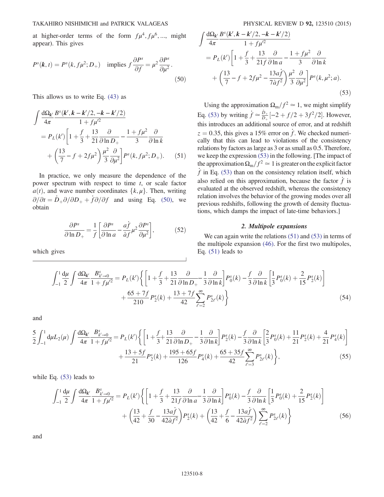at higher-order terms of the form  $f\mu^4$ ,  $f\mu^6$ , ..., might appear). This gives

$$
P^{s}(k,t) = P^{s}(k, f\mu^{2}; D_{+}) \text{ implies } f\frac{\partial P^{s}}{\partial f} = \mu^{2} \frac{\partial P^{s}}{\partial \mu^{2}}.
$$
\n(50)

This allows us to write Eq. (43) as

$$
\int \frac{d\Omega_{k'}}{4\pi} \frac{B^{s}(k', k - k'/2, -k - k'/2)}{1 + f\mu'^2}
$$
  
=  $P_{L}(k') \left[ 1 + \frac{f}{3} + \frac{13}{21} \frac{\partial}{\partial \ln D_{+}} - \frac{1 + f\mu^{2}}{3} \frac{\partial}{\partial \ln k} + \left( \frac{13}{7} - f + 2f\mu^{2} \right) \frac{\mu^{2}}{3} \frac{\partial}{\partial \mu^{2}} \right] P^{s}(k, f\mu^{2}; D_{+}).$  (51)

In practice, we only measure the dependence of the power spectrum with respect to time  $t$ , or scale factor  $a(t)$ , and wave number coordinates  $\{k, \mu\}$ . Then, writing  $\partial/\partial t = \dot{D}_+\partial/\partial D_+ + f\partial/\partial f$  and using Eq. (50), we obtain

$$
\frac{\partial P^s}{\partial \ln D_+} = \frac{1}{f} \left[ \frac{\partial P^s}{\partial \ln a} - \frac{a\dot{f}}{\dot{a}f} \mu^2 \frac{\partial P^s}{\partial \mu^2} \right],\tag{52}
$$

which gives

$$
\int \frac{d\Omega_{k'}}{4\pi} \frac{B^{s}(k', k - k'/2, -k - k'/2)}{1 + f\mu'^2} \n= P_{L}(k') \left[ 1 + \frac{f}{3} + \frac{13}{21f} \frac{\partial}{\partial \ln a} - \frac{1 + f\mu^2}{3} \frac{\partial}{\partial \ln k} + \left( \frac{13}{7} - f + 2f\mu^2 - \frac{13af}{7af^2} \right) \frac{\mu^2}{3} \frac{\partial}{\partial \mu^2} \right] P^{s}(k, \mu^2; a).
$$
\n(53)

Using the approximation  $\Omega_{\rm m}/f^2 \simeq 1$ , we might simplify Eq. (53) by writing  $\dot{f} \approx \frac{\dot{D}_+}{D_+}[-2 + f/2 + 3f^2/2]$ . However, this introduces an additional source of error, and at redshift  $z = 0.35$ , this gives a 15% error on f. We checked numerically that this can lead to violations of the consistency relations by factors as large as 3 or as small as 0.5. Therefore, we keep the expression (53) in the following. [The impact of the approximation  $\Omega_{\rm m}/f^2 \simeq 1$  is greater on the explicit factor  $\dot{f}$  in Eq. (53) than on the consistency relation itself, which also relied on this approximation, because the factor  $f$  is evaluated at the observed redshift, whereas the consistency relation involves the behavior of the growing modes over all previous redshifts, following the growth of density fluctuations, which damps the impact of late-time behaviors.]

#### 2. Multipole expansions

We can again write the relations (51) and (53) in terms of the multipole expansion (46). For the first two multipoles, Eq. (51) leads to

$$
\int_{-1}^{1} \frac{d\mu}{2} \int \frac{d\Omega_{k'}}{4\pi} \frac{B_{k'\to 0}^s}{1 + f\mu'^2} = P_L(k') \left\{ \left[ 1 + \frac{f}{3} + \frac{13}{21} \frac{\partial}{\partial \ln D_+} - \frac{1}{3} \frac{\partial}{\partial \ln k} \right] P_0^s(k) - \frac{f}{3} \frac{\partial}{\partial \ln k} \left[ \frac{1}{3} P_0^s(k) + \frac{2}{15} P_2^s(k) \right] + \frac{65 + 7f}{210} P_2^s(k) + \frac{13 + 7f}{42} \sum_{\ell=2}^{\infty} P_{2\ell}^s(k) \right\} \tag{54}
$$

and

$$
\frac{5}{2} \int_{-1}^{1} d\mu L_{2}(\mu) \int \frac{d\Omega_{k'}}{4\pi} \frac{B_{k'-0}^{s}}{1 + f\mu'^{2}} = P_{L}(k') \left\{ \left[ 1 + \frac{f}{3} + \frac{13}{21} \frac{\partial}{\partial \ln D_{+}} - \frac{1}{3} \frac{\partial}{\partial \ln k} \right] P_{2}^{s}(k) - \frac{f}{3} \frac{\partial}{\partial \ln k} \left[ \frac{2}{3} P_{0}^{s}(k) + \frac{11}{21} P_{2}^{s}(k) + \frac{4}{21} P_{4}^{s}(k) \right] + \frac{13 + 5f}{21} P_{2}^{s}(k) + \frac{195 + 65f}{126} P_{4}^{s}(k) + \frac{65 + 35f}{42} \sum_{\ell=3}^{\infty} P_{2\ell}^{s}(k) \right\},
$$
\n(55)

while Eq. (53) leads to

$$
\int_{-1}^{1} \frac{d\mu}{2} \int \frac{d\Omega_{k'}}{4\pi} \frac{B_{k'-0}^s}{1 + f\mu'^2} = P_L(k') \left\{ \left[ 1 + \frac{f}{3} + \frac{13}{21f} \frac{\partial}{\partial \ln a} - \frac{1}{3} \frac{\partial}{\partial \ln k} \right] P_0^s(k) - \frac{f}{3} \frac{\partial}{\partial \ln k} \left[ \frac{1}{3} P_0^s(k) + \frac{2}{15} P_2^s(k) \right] + \left( \frac{13}{42} + \frac{f}{30} - \frac{13a\dot{f}}{42\dot{a}f^2} \right) P_2^s(k) + \left( \frac{13}{42} + \frac{f}{6} - \frac{13a\dot{f}}{42\dot{a}f^2} \right) \sum_{\ell=2}^{\infty} P_{2\ell}^s(k) \right\}
$$
(56)

and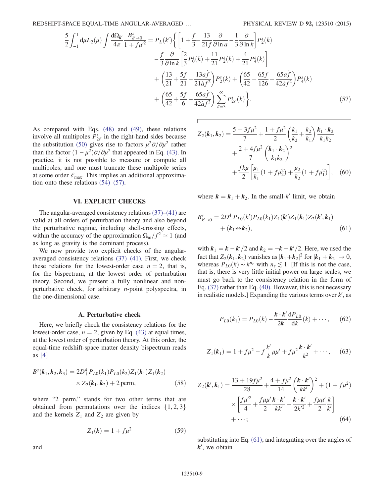REDSHIFT-SPACE EQUAL-TIME ANGULAR-AVERAGED ... PHYSICAL REVIEW D 92, 123510 (2015)

$$
\frac{5}{2} \int_{-1}^{1} d\mu L_{2}(\mu) \int \frac{d\Omega_{k'}}{4\pi} \frac{B_{k'\to 0}^{s}}{1+f\mu'^{2}} = P_{L}(k') \Biggl\{ \Biggl[ 1 + \frac{f}{3} + \frac{13}{21f} \frac{\partial}{\partial \ln a} - \frac{1}{3} \frac{\partial}{\partial \ln k} \Biggr] P_{2}(k) - \frac{f}{3} \frac{\partial}{\partial \ln k} \Biggl[ \frac{2}{3} P_{0}^{s}(k) + \frac{11}{21} P_{2}^{s}(k) + \frac{4}{21} P_{4}^{s}(k) \Biggr] + \Biggl( \frac{13}{21} + \frac{5f}{21} - \frac{13a\dot{f}}{21a\dot{f}^{2}} \Biggr) P_{2}(k) + \Biggl( \frac{65}{42} + \frac{65f}{126} - \frac{65a\dot{f}}{42a\dot{f}^{2}} \Biggr) P_{4}^{s}(k) + \Biggl( \frac{65}{42} + \frac{5f}{6} - \frac{65a\dot{f}}{42a\dot{f}^{2}} \Biggr) \sum_{\ell=3}^{\infty} P_{2\ell}^{s}(k) \Biggr\}.
$$
\n(57)

As compared with Eqs. (48) and (49), these relations involve all multipoles  $P_{2\ell}^s$  in the right-hand sides because the substitution (50) gives rise to factors  $\mu^2 \partial/\partial \mu^2$  rather than the factor  $(1 - \mu^2)\partial/\partial\mu^2$  that appeared in Eq. (43). In practice, it is not possible to measure or compute all multipoles, and one must truncate these multipole series at some order  $\ell_{\text{max}}$ . This implies an additional approximation onto these relations  $(54)$ – $(57)$ .

#### VI. EXPLICIT CHECKS

The angular-averaged consistency relations (37)–(41) are valid at all orders of perturbation theory and also beyond the perturbative regime, including shell-crossing effects, within the accuracy of the approximation  $\Omega_{\rm m}/f^2 \simeq 1$  (and as long as gravity is the dominant process).

We now provide two explicit checks of the angularaveraged consistency relations (37)–(41). First, we check these relations for the lowest-order case  $n = 2$ , that is, for the bispectrum, at the lowest order of perturbation theory. Second, we present a fully nonlinear and nonperturbative check, for arbitrary n-point polyspectra, in the one-dimensional case.

#### A. Perturbative check

Here, we briefly check the consistency relations for the lowest-order case,  $n = 2$ , given by Eq. (43) at equal times, at the lowest order of perturbation theory. At this order, the equal-time redshift-space matter density bispectrum reads as [4]

$$
Bs(k1, k2, k3) = 2D4+PL0(k1)PL0(k2)Z1(k1)Z1(k2)\times Z2(k1, k2) + 2 perm,
$$
 (58)

where "2 perm." stands for two other terms that are obtained from permutations over the indices  $\{1, 2, 3\}$ and the kernels  $Z_1$  and  $Z_2$  are given by

$$
Z_1(k) = 1 + f\mu^2
$$
 (59)

and

$$
Z_2(k_1, k_2) = \frac{5 + 3f\mu^2}{7} + \frac{1 + f\mu^2}{2} \left(\frac{k_1}{k_2} + \frac{k_2}{k_1}\right) \frac{k_1 \cdot k_2}{k_1 k_2} + \frac{2 + 4f\mu^2}{7} \left(\frac{k_1 \cdot k_2}{k_1 k_2}\right)^2 + \frac{f k \mu}{2} \left[\frac{\mu_1}{k_1} (1 + f\mu_2^2) + \frac{\mu_2}{k_2} (1 + f\mu_1^2)\right],
$$
 (60)

where  $k = k_1 + k_2$ . In the small-k' limit, we obtain

$$
B_{k'\to 0}^s = 2D_+^4 P_{L0}(k') P_{L0}(k_1) Z_1(k') Z_1(k_1) Z_2(k', k_1)
$$
  
+  $(k_1 \leftrightarrow k_2),$  (61)

with  $k_1 = k - k'/2$  and  $k_2 = -k - k'/2$ . Here, we used the fact that  $Z_k(k, k_1)$  vanishes as  $|k_1 + k_2|^2$  for  $|k_2 + k_1| \to 0$ . fact that  $Z_2(k_1, k_2)$  vanishes as  $|k_1 + k_2|^2$  for  $|k_1 + k_2| \to 0$ ,<br>whereas  $P_{k_1}(k) \sim k^{n_s}$  with  $n \le 1$  If this is not the case whereas  $P_{L0}(k) \sim k^{n_s}$  with  $n_s \lesssim 1$ . [If this is not the case, that is, there is very little initial power on large scales, we must go back to the consistency relation in the form of Eq. (37) rather than Eq. (40). However, this is not necessary in realistic models.] Expanding the various terms over  $k'$ , as

$$
P_{L0}(k_1) = P_{L0}(k) - \frac{k \cdot k'}{2k} \frac{dP_{L0}}{dk}(k) + \cdots, \quad (62)
$$

$$
Z_1(k_1) = 1 + f\mu^2 - f\frac{k'}{k}\mu\mu' + f\mu^2\frac{k\cdot k'}{k^2} + \cdots, \quad (63)
$$

$$
Z_2(k', k_1) = \frac{13 + 19f\mu^2}{28} + \frac{4 + f\mu^2}{14} \left(\frac{k \cdot k'}{kk'}\right)^2 + (1 + f\mu^2)
$$
  
 
$$
\times \left[\frac{f\mu'^2}{4} + \frac{f\mu\mu'k \cdot k'}{2} + \frac{k \cdot k'}{2k'^2} + \frac{f\mu\mu'}{2} \frac{k'}{k'}\right]
$$
  
+...; (64)

substituting into Eq. (61); and integrating over the angles of  $k'$ , we obtain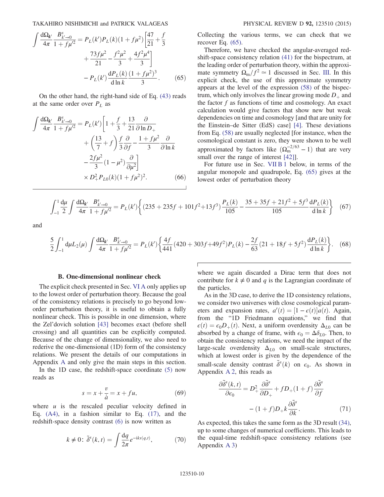TAKAHIRO NISHIMICHI and PATRICK VALAGEAS PHYSICAL REVIEW D 92, 123510 (2015)

$$
\int \frac{d\Omega_{k'}}{4\pi} \frac{B_{k'\to 0}^s}{1 + f\mu'^2} = P_L(k')P_L(k)(1 + f\mu^2) \left[ \frac{47}{21} + \frac{f}{3} + \frac{73f\mu^2}{21} - \frac{f^2\mu^2}{3} + \frac{4f^2\mu^4}{3} \right] - P_L(k') \frac{dP_L(k)}{d\ln k} \frac{(1 + f\mu^2)^3}{3}.
$$
 (65)

On the other hand, the right-hand side of Eq. (43) reads at the same order over  $P_L$  as

$$
\int \frac{d\Omega_{k'}}{4\pi} \frac{B_{k'\to 0}^s}{1 + f\mu'^2} = P_L(k') \left[ 1 + \frac{f}{3} + \frac{13}{21} \frac{\partial}{\partial \ln D_+} + \left( \frac{13}{7} + f \right) \frac{f}{3} \frac{\partial}{\partial f} - \frac{1 + f\mu^2}{3} \frac{\partial}{\partial \ln k} - \frac{2f\mu^2}{3} (1 - \mu^2) \frac{\partial}{\partial \mu^2} \right] \times D_+^2 P_{L0}(k) (1 + f\mu^2)^2.
$$
 (66)

Collecting the various terms, we can check that we recover Eq. (65).

Therefore, we have checked the angular-averaged redshift-space consistency relation (41) for the bispectrum, at the leading order of perturbation theory, within the approximate symmetry  $\Omega_{\rm m}/f^2 \simeq 1$  discussed in Sec. III. In this explicit check, the use of this approximate symmetry appears at the level of the expression (58) of the bispectrum, which only involves the linear growing mode  $D_+$  and the factor  $f$  as functions of time and cosmology. An exact calculation would give factors that show new but weak dependencies on time and cosmology [and that are unity for the Einstein–de Sitter (EdS) case] [4]. These deviations from Eq. (58) are usually neglected [for instance, when the cosmological constant is zero, they were shown to be well approximated by factors like  $(\Omega_{\rm m}^{-2/63} - 1)$  that are very small over the range of interest [42]].

For future use in Sec. VII B 1 below, in terms of the angular monopole and quadrupole, Eq. (65) gives at the lowest order of perturbation theory

$$
\int_{-1}^{1} \frac{d\mu}{2} \int \frac{d\Omega_{k'}}{4\pi} \frac{B_{k'\to 0}^s}{1 + f\mu'^2} = P_L(k') \left\{ (235 + 235f + 101f^2 + 13f^3) \frac{P_L(k)}{105} - \frac{35 + 35f + 21f^2 + 5f^3}{105} \frac{dP_L(k)}{d\ln k} \right\} \tag{67}
$$

and

$$
\frac{5}{2} \int_{-1}^{1} d\mu L_2(\mu) \int \frac{d\Omega_{k'}}{4\pi} \frac{B_{k'\to 0}^s}{1 + f\mu'^2} = P_L(k') \left\{ \frac{4f}{441} (420 + 303f + 49f^2) P_L(k) - \frac{2f}{63} (21 + 18f + 5f^2) \frac{dP_L(k)}{d\ln k} \right\}.
$$
 (68)

#### B. One-dimensional nonlinear check

The explicit check presented in Sec. VI A only applies up to the lowest order of perturbation theory. Because the goal of the consistency relations is precisely to go beyond loworder perturbation theory, it is useful to obtain a fully nonlinear check. This is possible in one dimension, where the Zel'dovich solution [43] becomes exact (before shell crossing) and all quantities can be explicitly computed. Because of the change of dimensionality, we also need to rederive the one-dimensional (1D) form of the consistency relations. We present the details of our computations in Appendix A and only give the main steps in this section.

In the 1D case, the redshift-space coordinate (5) now reads as

$$
s = x + \frac{v}{\dot{a}} = x + fu,\tag{69}
$$

where  $u$  is the rescaled peculiar velocity defined in Eq. (A4), in a fashion similar to Eq. (17), and the redshift-space density contrast (6) is now written as

$$
k \neq 0: \tilde{\delta}^s(k, t) = \int \frac{\mathrm{d}q}{2\pi} e^{-\mathrm{i}ks(q, t)},\tag{70}
$$

where we again discarded a Dirac term that does not contribute for  $k \neq 0$  and q is the Lagrangian coordinate of the particles.

As in the 3D case, to derive the 1D consistency relations, we consider two universes with close cosmological parameters and expansion rates,  $a'(t) = [1 - \epsilon(t)]a(t)$ . Again,<br>from the "ID Friedmann equations" we find that from the "1D Friedmann equations," we find that  $\epsilon(t) = \epsilon_0 D_+(t)$ . Next, a uniform overdensity  $\Delta_{L0}$  can be absorbed by a change of frame, with  $\epsilon_0 = \Delta \delta_{L0}$ . Then, to obtain the consistency relations, we need the impact of the large-scale overdensity  $\Delta_{L0}$  on small-scale structures, which at lowest order is given by the dependence of the small-scale density contrast  $\tilde{\delta}^s(k)$  on  $\epsilon_0$ . As shown in Appendix A 2 this reads as Appendix A 2, this reads as

$$
\frac{\partial \tilde{\delta}^s(k,t)}{\partial \epsilon_0} = D_+^2 \frac{\partial \tilde{\delta}^s}{\partial D_+} + f D_+(1+f) \frac{\partial \tilde{\delta}^s}{\partial f}
$$

$$
- (1+f)D_+ k \frac{\partial \tilde{\delta}^s}{\partial k}.
$$
(71)

As expected, this takes the same form as the 3D result (34), up to some changes of numerical coefficients. This leads to the equal-time redshift-space consistency relations (see Appendix A 3)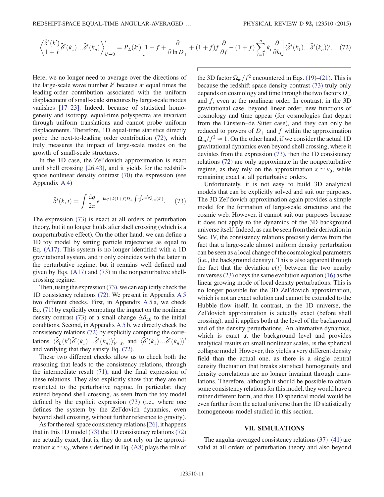$$
\left\langle \frac{\tilde{\delta}^s(k')}{1+f} \tilde{\delta}^s(k_1) \dots \tilde{\delta}^s(k_n) \right\rangle_{k'=0}^{\prime} = P_L(k') \left[ 1 + f + \frac{\partial}{\partial \ln D_+} + (1+f) f \frac{\partial}{\partial f} - (1+f) \sum_{i=1}^n k_i \frac{\partial}{\partial k_i} \right] \langle \tilde{\delta}^s(k_1) \dots \tilde{\delta}^s(k_n) \rangle'. \tag{72}
$$

Here, we no longer need to average over the directions of the large-scale wave number  $k'$  because at equal times the leading-order contribution associated with the uniform displacement of small-scale structures by large-scale modes vanishes [17–23]. Indeed, because of statistical homogeneity and isotropy, equal-time polyspectra are invariant through uniform translations and cannot probe uniform displacements. Therefore, 1D equal-time statistics directly probe the next-to-leading order contribution (72), which truly measures the impact of large-scale modes on the growth of small-scale structures.

In the 1D case, the Zel'dovich approximation is exact until shell crossing [26,43], and it yields for the redshiftspace nonlinear density contrast (70) the expression (see Appendix A 4)

$$
\tilde{\delta}^s(k,t) = \int \frac{\mathrm{d}q}{2\pi} e^{-\mathrm{i}kq + k(1+f)D_+ \int \frac{\mathrm{d}k'}{k'} e^{\mathrm{i}k'q} \tilde{\delta}_{L0}(k')}.
$$
(73)

The expression (73) is exact at all orders of perturbation theory, but it no longer holds after shell crossing (which is a nonperturbative effect). On the other hand, we can define a 1D toy model by setting particle trajectories as equal to Eq. (A17). This system is no longer identified with a 1D gravitational system, and it only coincides with the latter in the perturbative regime, but it remains well defined and given by Eqs. (A17) and (73) in the nonperturbative shellcrossing regime.

Then, using the expression (73), we can explicitly check the 1D consistency relations (72). We present in Appendix A 5 two different checks. First, in Appendix  $A\overline{5}a$ , we check Eq. (71) by explicitly computing the impact on the nonlinear density contrast (73) of a small change  $\Delta \delta_{L0}$  to the initial conditions. Second, in Appendix A5b, we directly check the consistency relations (72) by explicitly computing the correlations  $\langle \tilde{\delta}_L(k') \tilde{\delta}^s(k_1) \dots \tilde{\delta}^s(k_n) \rangle_{k'\to 0}$  and  $\langle \tilde{\delta}^s(k_1) \dots \tilde{\delta}^s(k_n) \rangle$ and verifying that they satisfy Eq. (72).

These two different checks allow us to check both the reasoning that leads to the consistency relations, through the intermediate result  $(71)$ , and the final expression of these relations. They also explicitly show that they are not restricted to the perturbative regime. In particular, they extend beyond shell crossing, as seen from the toy model defined by the explicit expression (73) (i.e., where one defines the system by the Zel'dovich dynamics, even beyond shell crossing, without further reference to gravity).

As for the real-space consistency relations[26], it happens that in this 1D model (73) the 1D consistency relations (72) are actually exact, that is, they do not rely on the approximation  $\kappa \simeq \kappa_0$ , where  $\kappa$  defined in Eq. (A8) plays the role of the 3D factor  $\Omega_{\rm m}/f^2$  encountered in Eqs. (19)–(21). This is because the redshift-space density contrast (73) truly only depends on cosmology and time through the two factors  $D_+$ and f, even at the nonlinear order. In contrast, in the 3D gravitational case, beyond linear order, new functions of cosmology and time appear (for cosmologies that depart from the Einstein–de Sitter case), and they can only be reduced to powers of  $D_+$  and f within the approximation  $\Omega_{\rm m}/f^2 \simeq 1$ . On the other hand, if we consider the actual 1D gravitational dynamics even beyond shell crossing, where it deviates from the expression (73), then the 1D consistency relations (72) are only approximate in the nonperturbative regime, as they rely on the approximation  $\kappa \approx \kappa_0$ , while remaining exact at all perturbative orders.

Unfortunately, it is not easy to build 3D analytical models that can be explicitly solved and suit our purposes. The 3D Zel'dovich approximation again provides a simple model for the formation of large-scale structures and the cosmic web. However, it cannot suit our purposes because it does not apply to the dynamics of the 3D background universe itself. Indeed, as can be seen from their derivation in Sec. IV, the consistency relations precisely derive from the fact that a large-scale almost uniform density perturbation can be seen as a local change of the cosmological parameters (i.e., the background density). This is also apparent through the fact that the deviation  $\epsilon(t)$  between the two nearby universes  $(23)$  obeys the same evolution equation  $(16)$  as the linear growing mode of local density perturbations. This is no longer possible for the 3D Zel'dovich approximation, which is not an exact solution and cannot be extended to the Hubble flow itself. In contrast, in the 1D universe, the Zel'dovich approximation is actually exact (before shell crossing), and it applies both at the level of the background and of the density perturbations. An alternative dynamics, which is exact at the background level and provides analytical results on small nonlinear scales, is the spherical collapse model. However, this yields a very different density field than the actual one, as there is a single central density fluctuation that breaks statistical homogeneity and density correlations are no longer invariant through translations. Therefore, although it should be possible to obtain some consistency relations for this model, they would have a rather different form, and this 1D spherical model would be even farther from the actual universe than the 1D statistically homogeneous model studied in this section.

### VII. SIMULATIONS

The angular-averaged consistency relations (37)–(41) are valid at all orders of perturbation theory and also beyond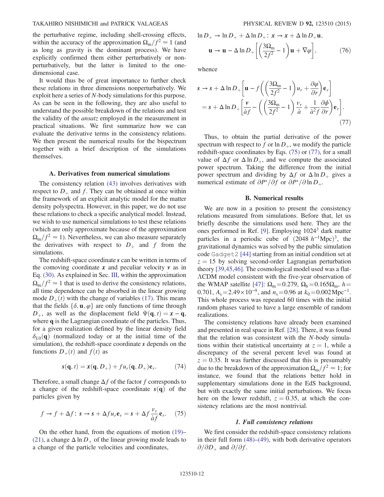#### TAKAHIRO NISHIMICHI and PATRICK VALAGEAS PHYSICAL REVIEW D 92, 123510 (2015)

the perturbative regime, including shell-crossing effects, within the accuracy of the approximation  $\Omega_{\rm m}/f^2 \simeq 1$  (and as long as gravity is the dominant process). We have explicitly confirmed them either perturbatively or nonperturbatively, but the latter is limited to the onedimensional case.

It would thus be of great importance to further check these relations in three dimensions nonperturbatively. We exploit here a series of N-body simulations for this purpose. As can be seen in the following, they are also useful to understand the possible breakdown of the relations and test the validity of the ansatz employed in the measurement in practical situations. We first summarize how we can evaluate the derivative terms in the consistency relations. We then present the numerical results for the bispectrum together with a brief description of the simulations themselves.

#### A. Derivatives from numerical simulations

The consistency relation (43) involves derivatives with respect to  $D_+$  and f. They can be obtained at once within the framework of an explicit analytic model for the matter density polyspectra. However, in this paper, we do not use these relations to check a specific analytical model. Instead, we wish to use numerical simulations to test these relations (which are only approximate because of the approximation  $\Omega_{\rm m}/f^2 \simeq 1$ ). Nevertheless, we can also measure separately the derivatives with respect to  $D_+$  and f from the simulations.

The redshift-space coordinate s can be written in terms of the comoving coordinate  $x$  and peculiar velocity  $v$  as in Eq. (30). As explained in Sec. III, within the approximation  $\Omega_{\rm m}/f^2 \simeq 1$  that is used to derive the consistency relations, all time dependence can be absorbed in the linear growing mode  $D_{+}(t)$  with the change of variables (17). This means that the fields  $\{\delta, \mathbf{u}, \varphi\}$  are only functions of time through  $D_+$ , as well as the displacement field  $\Psi(\mathbf{q}, t) = \mathbf{x} - \mathbf{q}$ , where **q** is the Lagrangian coordinate of the particles. Thus, for a given realization defined by the linear density field  $\delta_{L0}(\mathbf{q})$  (normalized today or at the initial time of the simulation), the redshift-space coordinate s depends on the functions  $D_+(t)$  and  $f(t)$  as

$$
s(\mathbf{q},t) = x(\mathbf{q},D_+) + fu_r(\mathbf{q},D_+) \mathbf{e}_r. \tag{74}
$$

Therefore, a small change  $\Delta f$  of the factor f corresponds to a change of the redshift-space coordinate  $s(q)$  of the particles given by

$$
f \to f + \Delta f \colon s \to s + \Delta f u_r \mathbf{e}_r = s + \Delta f \frac{v_r}{\dot{a}f} \mathbf{e}_r. \tag{75}
$$

On the other hand, from the equations of motion (19)– (21), a change  $\Delta \ln D_+$  of the linear growing mode leads to a change of the particle velocities and coordinates,

 $\ln D_+ \rightarrow \ln D_+ + \Delta \ln D_+$ :  $x \rightarrow x + \Delta \ln D_+ u$ ,

$$
\mathbf{u} \to \mathbf{u} - \Delta \ln D_+ \left[ \left( \frac{3\Omega_m}{2f^2} - 1 \right) \mathbf{u} + \nabla \varphi \right],\tag{76}
$$

whence

$$
s \to s + \Delta \ln D_{+} \left[ \mathbf{u} - f \left( \left( \frac{3\Omega_{\rm m}}{2f^{2}} - 1 \right) u_{r} + \frac{\partial \varphi}{\partial r} \right) \mathbf{e}_{r} \right]
$$
  
=  $s + \Delta \ln D_{+} \left[ \frac{\mathbf{v}}{\dot{a}f} - \left( \left( \frac{3\Omega_{\rm m}}{2f^{2}} - 1 \right) \frac{v_{r}}{\dot{a}} + \frac{1}{\dot{a}^{2}f} \frac{\partial \phi}{\partial r} \right) \mathbf{e}_{r} \right].$  (77)

Thus, to obtain the partial derivative of the power spectrum with respect to f or  $\ln D_+$ , we modify the particle redshift-space coordinates by Eqs. (75) or (77), for a small value of  $\Delta f$  or  $\Delta \ln D_+$ , and we compute the associated power spectrum. Taking the difference from the initial power spectrum and dividing by  $\Delta f$  or  $\Delta \ln D_+$  gives a numerical estimate of  $\partial P^s / \partial f$  or  $\partial P^s / \partial \ln D_+$ .

#### B. Numerical results

We are now in a position to present the consistency relations measured from simulations. Before that, let us briefly describe the simulations used here. They are the ones performed in Ref. [9]. Employing 10243 dark matter particles in a periodic cube of  $(2048 h<sup>-1</sup>Mpc)<sup>3</sup>$ , the gravitational dynamics was solved by the public simulation code Gadget2 [44] starting from an initial condition set at  $z = 15$  by solving second-order Lagrangian perturbation theory [39,45,46]. The cosmological model used was a flat-ΛCDM model consistent with the five-year observation of the WMAP satellite [47]:  $\Omega_{\rm m}$  = 0.279,  $\Omega_{\rm b}$  = 0.165 $\Omega_{\rm m}$ , h = 0.701,  $A_s = 2.49 \times 10^{-9}$ , and  $n_s = 0.96$  at  $k_0 = 0.002 \text{ Mpc}^{-1}$ . This whole process was repeated 60 times with the initial random phases varied to have a large ensemble of random realizations.

The consistency relations have already been examined and presented in real space in Ref. [28]. There, it was found that the relation was consistent with the N-body simulations within their statistical uncertainty at  $z = 1$ , while a discrepancy of the several percent level was found at  $z = 0.35$ . It was further discussed that this is presumably due to the breakdown of the approximation  $\Omega_{\rm m}/f^2 \simeq 1$ ; for instance, we found that the relations better hold in supplementary simulations done in the EdS background, but with exactly the same initial perturbations. We focus here on the lower redshift,  $z = 0.35$ , at which the consistency relations are the most nontrivial.

#### 1. Full consistency relations

We first consider the redshift-space consistency relations in their full form (48)–(49), with both derivative operators  $\partial/\partial D_+$  and  $\partial/\partial f$ .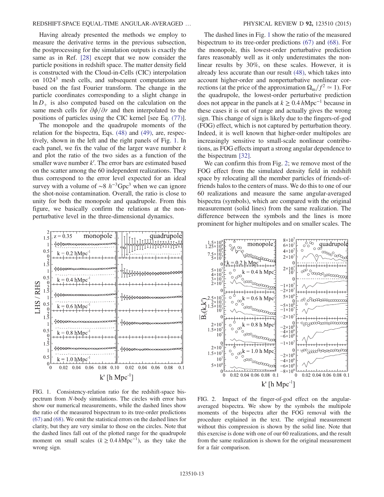# REDSHIFT-SPACE EQUAL-TIME ANGULAR-AVERAGED … PHYSICAL REVIEW D 92, 123510 (2015)

Having already presented the methods we employ to measure the derivative terms in the previous subsection, the postprocessing for the simulation outputs is exactly the same as in Ref. [28] except that we now consider the particle positions in redshift space. The matter density field is constructed with the Cloud-in-Cells (CIC) interpolation on 10243 mesh cells, and subsequent computations are based on the fast Fourier transform. The change in the particle coordinates corresponding to a slight change in  $\ln D_+$  is also computed based on the calculation on the same mesh cells for  $\partial \phi / \partial r$  and then interpolated to the positions of particles using the CIC kernel [see Eq. (77)].

The monopole and the quadrupole moments of the relation for the bispectra, Eqs. (48) and (49), are, respectively, shown in the left and the right panels of Fig. 1. In each panel, we fix the value of the larger wave number  $k$ and plot the ratio of the two sides as a function of the smaller wave number  $k'$ . The error bars are estimated based on the scatter among the 60 independent realizations. They thus correspond to the error level expected for an ideal survey with a volume of ~8  $h^{-3}$ Gpc<sup>3</sup> when we can ignore the shot-noise contamination. Overall, the ratio is close to unity for both the monopole and quadrupole. From this figure, we basically confirm the relations at the nonperturbative level in the three-dimensional dynamics.



FIG. 1. Consistency-relation ratio for the redshift-space bispectrum from N-body simulations. The circles with error bars show our numerical measurements, while the dashed lines show the ratio of the measured bispectrum to its tree-order predictions (67) and (68). We omit the statistical errors on the dashed lines for clarity, but they are very similar to those on the circles. Note that the dashed lines fall out of the plotted range for the quadrupole moment on small scales ( $k \ge 0.4 h \text{Mpc}^{-1}$ ), as they take the wrong sign.

The dashed lines in Fig. 1 show the ratio of the measured bispectrum to its tree-order predictions (67) and (68). For the monopole, this lowest-order perturbative prediction fares reasonably well as it only underestimates the nonlinear results by 30%, on these scales. However, it is already less accurate than our result (48), which takes into account higher-order and nonperturbative nonlinear corrections (at the price of the approximation  $\Omega_{\rm m}/f^2 \simeq 1$ ). For the quadrupole, the lowest-order perturbative prediction does not appear in the panels at  $k \ge 0.4$  hMpc<sup>-1</sup> because in these cases it is out of range and actually gives the wrong sign. This change of sign is likely due to the fingers-of-god (FOG) effect, which is not captured by perturbation theory. Indeed, it is well known that higher-order multipoles are increasingly sensitive to small-scale nonlinear contributions, as FOG effects impart a strong angular dependence to the bispectrum [32].

We can confirm this from Fig. 2; we remove most of the FOG effect from the simulated density field in redshift space by relocating all the member particles of friends-offriends halos to the centers of mass. We do this to one of our 60 realizations and measure the same angular-averaged bispectra (symbols), which are compared with the original measurement (solid lines) from the same realization. The difference between the symbols and the lines is more prominent for higher multipoles and on smaller scales. The



FIG. 2. Impact of the finger-of-god effect on the angularaveraged bispectra. We show by the symbols the multipole moments of the bispectra after the FOG removal with the procedure explained in the text. The original measurement without this compression is shown by the solid line. Note that this exercise is done with one of our 60 realizations, and the result from the same realization is shown for the original measurement for a fair comparison.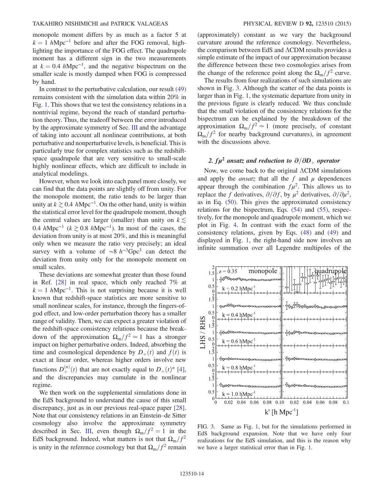monopole moment differs by as much as a factor 5 at  $k = 1$  hMpc<sup>-1</sup> before and after the FOG removal, highlighting the importance of the FOG effect. The quadrupole moment has a different sign in the two measurements at  $k = 0.4$  hMpc<sup>-1</sup>, and the negative bispectrum on the smaller scale is mostly damped when FOG is compressed by hand.

In contrast to the perturbative calculation, our result (49) remains consistent with the simulation data within 20% in Fig. 1. This shows that we test the consistency relations in a nontrivial regime, beyond the reach of standard perturbation theory. Thus, the tradeoff between the error introduced by the approximate symmetry of Sec. III and the advantage of taking into account all nonlinear contributions, at both perturbative and nonperturbative levels, is beneficial. This is particularly true for complex statistics such as the redshiftspace quadrupole that are very sensitive to small-scale highly nonlinear effects, which are difficult to include in analytical modelings.

However, when we look into each panel more closely, we can find that the data points are slightly off from unity. For the monopole moment, the ratio tends to be larger than unity at  $k \geq 0.4$  hMpc<sup>-1</sup>. On the other hand, unity is within the statistical error level for the quadrupole moment, though the central values are larger (smaller) than unity on  $k \leq$ 0.4 hMpc<sup>-1</sup> ( $k \ge 0.8$  hMpc<sup>-1</sup>). In most of the cases, the deviation from unity is at most 20%, and this is meaningful only when we measure the ratio very precisely; an ideal survey with a volume of  $\sim 8 h^{-3}$ Gpc<sup>3</sup> can detect the deviation from unity only for the monopole moment on small scales.

These deviations are somewhat greater than those found in Ref. [28] in real space, which only reached 7% at  $k = 1$  hMpc<sup>-1</sup>. This is not surprising because it is well known that redshift-space statistics are more sensitive to small nonlinear scales, for instance, through the fingers-ofgod effect, and low-order perturbation theory has a smaller range of validity. Then, we can expect a greater violation of the redshift-space consistency relations because the breakdown of the approximation  $\Omega_{\rm m}/f^2 \simeq 1$  has a stronger impact on higher perturbative orders. Indeed, absorbing the time and cosmological dependence by  $D_{+}(t)$  and  $f(t)$  is exact at linear order, whereas higher orders involve new functions  $D_{+}^{(n)}(t)$  that are not exactly equal to  $D_{+}(t)^{n}$  [4], and the discrepancies may cumulate in the nonlinear regime.

We then work on the supplemental simulations done in the EdS background to understand the cause of this small discrepancy, just as in our previous real-space paper [28]. Note that our consistency relations in an Einstein–de Sitter cosmology also involve the approximate symmetry described in Sec. III, even though  $\Omega_{\rm m}/f^2 = 1$  in the EdS background. Indeed, what matters is not that  $\Omega_{\rm m}/f^2$ is unity in the reference cosmology but that  $\Omega_{\rm m}/f^2$  remain (approximately) constant as we vary the background curvature around the reference cosmology. Nevertheless, the comparison between EdS and ΛCDM results provides a simple estimate of the impact of our approximation because the difference between these two cosmologies arises from the change of the reference point along the  $\Omega_{\rm m}/f^2$  curve.

The results from four realizations of such simulations are shown in Fig. 3. Although the scatter of the data points is larger than in Fig. 1, the systematic departure from unity in the previous figure is clearly reduced. We thus conclude that the small violation of the consistency relations for the bispectrum can be explained by the breakdown of the approximation  $\Omega_{\rm m}/f^2 \simeq 1$  (more precisely, of constant  $\Omega_{\rm m}/f^2$  for nearby background curvatures), in agreement with the discussions above.

# 2.  $f\mu^2$  ansatz and reduction to  $\partial/\partial D_{\perp}$  operator

Now, we come back to the original ΛCDM simulations and apply the *ansatz* that all the f and  $\mu$  dependences appear through the combination  $f\mu^2$ . This allows us to replace the f derivatives,  $\partial/\partial f$ , by  $\mu^2$  derivatives,  $\partial/\partial \mu^2$ , as in Eq. (50). This gives the approximated consistency relations for the bispectrum, Eqs. (54) and (55), respectively, for the monopole and quadrupole moment, which we plot in Fig. 4. In contrast with the exact form of the consistency relations, given by Eqs. (48) and (49) and displayed in Fig. 1, the right-hand side now involves an infinite summation over all Legendre multipoles of the



FIG. 3. Same as Fig. 1, but for the simulations performed in EdS background expansion. Note that we have only four realizations for the EdS simulation, and this is the reason why we have a larger statistical error than in Fig. 1.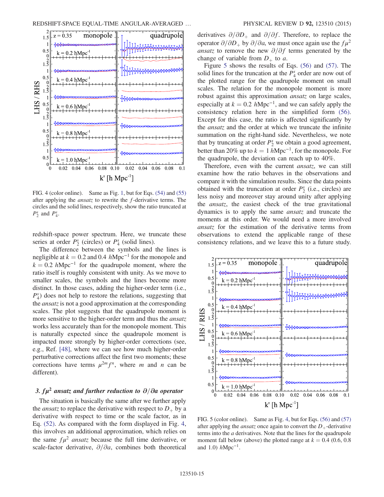

FIG. 4 (color online). Same as Fig. 1, but for Eqs. (54) and (55) after applying the ansatz to rewrite the f-derivative terms. The circles and the solid lines, respectively, show the ratio truncated at  $P_2^s$  and  $P_4^s$ .

redshift-space power spectrum. Here, we truncate these series at order  $P_2^s$  (circles) or  $P_4^s$  (solid lines).

The difference between the symbols and the lines is negligible at  $k = 0.2$  and 0.4 hMpc<sup>-1</sup> for the monopole and  $k = 0.2$  hMpc<sup>-1</sup> for the quadrupole moment, where the ratio itself is roughly consistent with unity. As we move to smaller scales, the symbols and the lines become more distinct. In those cases, adding the higher-order term (i.e.,  $P_4^s$ ) does not help to restore the relations, suggesting that the ansatz is not a good approximation at the corresponding scales. The plot suggests that the quadrupole moment is more sensitive to the higher-order term and thus the *ansatz* works less accurately than for the monopole moment. This is naturally expected since the quadrupole moment is impacted more strongly by higher-order corrections (see, e.g., Ref. [48], where we can see how much higher-order perturbative corrections affect the first two moments; these corrections have terms  $\mu^{2m} f^{n}$ , where m and n can be different).

# 3.  $fu^2$  ansatz and further reduction to  $\partial/\partial a$  operator

The situation is basically the same after we further apply the *ansatz* to replace the derivative with respect to  $D_+$  by a derivative with respect to time or the scale factor, as in Eq. (52). As compared with the form displayed in Fig. 4, this involves an additional approximation, which relies on the same  $f\mu^2$  ansatz because the full time derivative, or scale-factor derivative,  $\partial/\partial a$ , combines both theoretical derivatives  $\partial/\partial D_+$  and  $\partial/\partial f$ . Therefore, to replace the operator  $\partial/\partial D_+$  by  $\partial/\partial a$ , we must once again use the  $f\mu^2$ ansatz to remove the new  $\partial/\partial f$  terms generated by the change of variable from  $D_+$  to a.

Figure 5 shows the results of Eqs. (56) and (57). The solid lines for the truncation at the  $P_4^s$  order are now out of the plotted range for the quadrupole moment on small scales. The relation for the monopole moment is more robust against this approximation ansatz on large scales, especially at  $k = 0.2$  hMpc<sup>-1</sup>, and we can safely apply the consistency relation here in the simplified form (56). Except for this case, the ratio is affected significantly by the ansatz and the order at which we truncate the infinite summation on the right-hand side. Nevertheless, we note that by truncating at order  $P_2^s$  we obtain a good agreement, better than 20% up to  $k = 1 h Mpc^{-1}$ , for the monopole. For the quadrupole, the deviation can reach up to 40%.

Therefore, even with the current *ansatz*, we can still examine how the ratio behaves in the observations and compare it with the simulation results. Since the data points obtained with the truncation at order  $P_2^s$  (i.e., circles) are less noisy and moreover stay around unity after applying the ansatz, the easiest check of the true gravitational dynamics is to apply the same ansatz and truncate the moments at this order. We would need a more involved ansatz for the estimation of the derivative terms from observations to extend the applicable range of these consistency relations, and we leave this to a future study.



FIG. 5 (color online). Same as Fig. 4, but for Eqs. (56) and (57) after applying the *ansatz* once again to convert the  $D_{+}$ -derivative terms into the a derivatives. Note that the lines for the quadrupole moment fall below (above) the plotted range at  $k = 0.4$  (0.6, 0.8) and 1.0)  $h$ Mpc<sup>-1</sup>.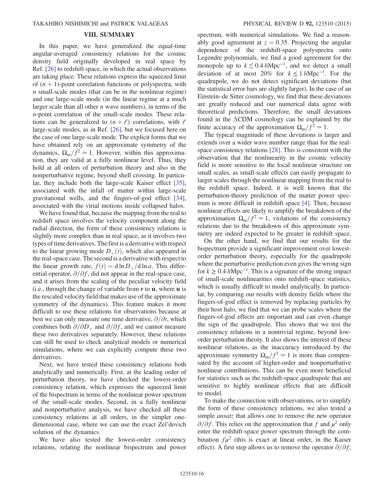# VIII. SUMMARY

In this paper, we have generalized the equal-time angular-averaged consistency relations for the cosmic density field originally developed in real space by Ref. [26] to redshift space, in which the actual observations are taking place. These relations express the squeezed limit of  $(n + 1)$ -point correlation functions or polyspectra, with  $n$  small-scale modes (that can be in the nonlinear regime) and one large-scale mode (in the linear regime at a much larger scale than all other  $n$  wave numbers), in terms of the n-point correlation of the small-scale modes. These relations can be generalized to  $(n + \ell)$  correlations, with  $\ell$ large-scale modes, as in Ref. [26], but we focused here on the case of one large-scale mode. The explicit forms that we have obtained rely on an approximate symmetry of the dynamics,  $\Omega_{\rm m}/f^2 \simeq 1$ . However, within this approximation, they are valid at a fully nonlinear level. Thus, they hold at all orders of perturbation theory and also in the nonperturbative regime, beyond shell crossing. In particular, they include both the large-scale Kaiser effect [35], associated with the infall of matter within large-scale gravitational wells, and the fingers-of-god effect [34], associated with the virial motions inside collapsed halos.

We have found that, because the mapping from the real to redshift space involves the velocity component along the radial direction, the form of these consistency relations is slightly more complex than in real space, as it involves two types of time derivatives. The first is a derivative with respect to the linear growing mode  $D_{+}(t)$ , which also appeared in the real-space case. The second is a derivative with respect to the linear growth rate,  $f(t) = d \ln D_+ / d \ln a$ . This differential operator,  $\partial/\partial f$ , did not appear in the real-space case, and it arises from the scaling of the peculiar velocity field (i.e., through the change of variable from  $\nu$  to  $\mathbf{u}$ , where  $\mathbf{u}$  is the rescaled velocity field that makes use of the approximate symmetry of the dynamics). This feature makes it more difficult to use these relations for observations because at best we can only measure one time derivative,  $\partial/\partial t$ , which combines both  $\partial/\partial D_+$  and  $\partial/\partial f$ , and we cannot measure these two derivatives separately. However, these relations can still be used to check analytical models or numerical simulations, where we can explicitly compute these two derivatives.

Next, we have tested these consistency relations both analytically and numerically. First, at the leading order of perturbation theory, we have checked the lowest-order consistency relation, which expresses the squeezed limit of the bispectrum in terms of the nonlinear power spectrum of the small-scale modes. Second, in a fully nonlinear and nonperturbative analysis, we have checked all these consistency relations at all orders, in the simpler onedimensional case, where we can use the exact Zel'dovich solution of the dynamics.

We have also tested the lowest-order consistency relations, relating the nonlinear bispectrum and power spectrum, with numerical simulations. We find a reasonably good agreement at  $z = 0.35$ . Projecting the angular dependence of the redshift-space polyspectra onto Legendre polynomials, we find a good agreement for the monopole up to  $k \lesssim 0.4 \ h \text{Mpc}^{-1}$ , and we detect a small deviation of at most 20% for  $k \leq 1 h \text{Mpc}^{-1}$ . For the quadrupole, we do not detect significant deviations (but the statistical error bars are slightly larger). In the case of an Einstein–de Sitter cosmology, we find that these deviations are greatly reduced and our numerical data agree with theoretical predictions. Therefore, the small deviations found in the ΛCDM cosmology can be explained by the finite accuracy of the approximation  $\Omega_{\rm m}/f^2 \simeq 1$ .

The typical magnitude of these deviations is larger and extends over a wider wave number range than for the realspace consistency relations [28]. This is consistent with the observation that the nonlinearity in the cosmic velocity field is more sensitive to the local nonlinear structure on small scales, as small-scale effects can easily propagate to larger scales through the nonlinear mapping from the real to the redshift space. Indeed, it is well known that the perturbation-theory prediction of the matter power spectrum is more difficult in redshift space [4]. Then, because nonlinear effects are likely to amplify the breakdown of the approximation  $\Omega_{\rm m}/f^2 \simeq 1$ , violations of the consistency relations due to the breakdown of this approximate symmetry are indeed expected to be greater in redshift space.

On the other hand, we find that our results for the bispectrum provide a significant improvement over lowestorder perturbation theory, especially for the quadrupole where the perturbative prediction even gives the wrong sign for  $k \geq 0.4$  hMpc<sup>-1</sup>. This is a signature of the strong impact of small-scale nonlinearities onto redshift-space statistics, which is usually difficult to model analytically. In particular, by comparing our results with density fields where the fingers-of-god effect is removed by replacing particles by their host halo, we find that we can probe scales where the fingers-of-god effects are important and can even change the sign of the quadrupole. This shows that we test the consistency relations in a nontrivial regime, beyond loworder perturbation theory. It also shows the interest of these nonlinear relations, as the inaccuracy introduced by the approximate symmetry  $\Omega_{\rm m}/f^2 \simeq 1$  is more than compensated by the account of higher-order and nonperturbative nonlinear contributions. This can be even more beneficial for statistics such as the redshift-space quadrupole that are sensitive to highly nonlinear effects that are difficult to model.

To make the connection with observations, or to simplify the form of these consistency relations, we also tested a simple ansatz that allows one to remove the new operator  $\partial/\partial f$ . This relies on the approximation that f and  $\mu^2$  only enter the redshift-space power spectrum through the combination  $f\mu^2$  (this is exact at linear order, in the Kaiser effect). A first step allows us to remove the operator  $\partial/\partial f$ ,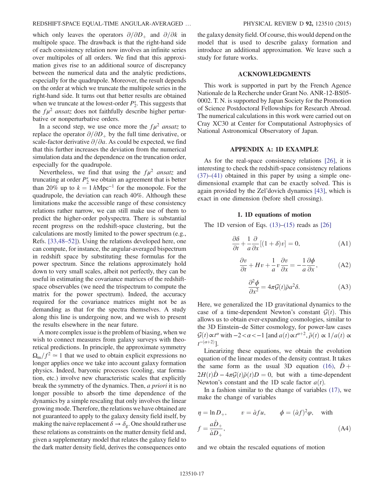# REDSHIFT-SPACE EQUAL-TIME ANGULAR-AVERAGED ... PHYSICAL REVIEW D 92, 123510 (2015)

which only leaves the operators  $\partial/\partial D_+$  and  $\partial/\partial k$  in multipole space. The drawback is that the right-hand side of each consistency relation now involves an infinite series over multipoles of all orders. We find that this approximation gives rise to an additional source of discrepancy between the numerical data and the analytic predictions, especially for the quadrupole. Moreover, the result depends on the order at which we truncate the multipole series in the right-hand side. It turns out that better results are obtained when we truncate at the lowest-order  $P_2^s$ . This suggests that the  $f\mu^2$  ansatz does not faithfully describe higher perturbative or nonperturbative orders.

In a second step, we use once more the  $f\mu^2$  ansatz to replace the operator  $\partial/\partial D_+$  by the full time derivative, or scale-factor derivative  $\partial/\partial a$ . As could be expected, we find that this further increases the deviation from the numerical simulation data and the dependence on the truncation order, especially for the quadrupole.

Nevertheless, we find that using the  $f\mu^2$  ansatz and truncating at order  $P_2^s$  we obtain an agreement that is better than 20% up to  $k = 1 h Mpc^{-1}$  for the monopole. For the quadrupole, the deviation can reach 40%. Although these limitations make the accessible range of these consistency relations rather narrow, we can still make use of them to predict the higher-order polyspectra. There is substantial recent progress on the redshift-space clustering, but the calculations are mostly limited to the power spectrum (e.g., Refs. [33,48–52]). Using the relations developed here, one can compute, for instance, the angular-averaged bispectrum in redshift space by substituting these formulas for the power spectrum. Since the relations approximately hold down to very small scales, albeit not perfectly, they can be useful in estimating the covariance matrices of the redshiftspace observables (we need the trispectrum to compute the matrix for the power spectrum). Indeed, the accuracy required for the covariance matrices might not be as demanding as that for the spectra themselves. A study along this line is undergoing now, and we wish to present the results elsewhere in the near future.

A more complex issue is the problem of biasing, when we wish to connect measures from galaxy surveys with theoretical predictions. In principle, the approximate symmetry  $\Omega_{\rm m}/f^2 \simeq 1$  that we used to obtain explicit expressions no longer applies once we take into account galaxy formation physics. Indeed, baryonic processes (cooling, star formation, etc.) involve new characteristic scales that explicitly break the symmetry of the dynamics. Then, a priori it is no longer possible to absorb the time dependence of the dynamics by a simple rescaling that only involves the linear growing mode. Therefore, the relations we have obtained are not guaranteed to apply to the galaxy density field itself, by making the naive replacement  $\delta \to \delta_g$ . One should rather use these relations as constraints on the matter density field and, given a supplementary model that relates the galaxy field to the dark matter density field, derives the consequences onto the galaxy density field. Of course, this would depend on the model that is used to describe galaxy formation and introduce an additional approximation. We leave such a study for future works.

#### ACKNOWLEDGMENTS

This work is supported in part by the French Agence Nationale de la Recherche under Grant No. ANR-12-BS05- 0002. T. N. is supported by Japan Society for the Promotion of Science Postdoctoral Fellowships for Research Abroad. The numerical calculations in this work were carried out on Cray XC30 at Center for Computational Astrophysics of National Astronomical Observatory of Japan.

### APPENDIX A: 1D EXAMPLE

As for the real-space consistency relations [26], it is interesting to check the redshift-space consistency relations (37)–(41) obtained in this paper by using a simple onedimensional example that can be exactly solved. This is again provided by the Zel'dovich dynamics [43], which is exact in one dimension (before shell crossing).

#### 1. 1D equations of motion

The 1D version of Eqs.  $(13)$ – $(15)$  reads as [26]

$$
\frac{\partial \delta}{\partial t} + \frac{1}{a} \frac{\partial}{\partial x} [(1 + \delta)v] = 0,
$$
 (A1)

$$
\frac{\partial v}{\partial t} + Hv + \frac{1}{a}v\frac{\partial v}{\partial x} = -\frac{1}{a}\frac{\partial \phi}{\partial x},
$$
 (A2)

$$
\frac{\partial^2 \phi}{\partial x^2} = 4\pi \mathcal{G}(t) \bar{\rho} a^2 \delta. \tag{A3}
$$

Here, we generalized the 1D gravitational dynamics to the case of a time-dependent Newton's constant  $G(t)$ . This allows us to obtain ever-expanding cosmologies, similar to the 3D Einstein–de Sitter cosmology, for power-law cases  $\mathcal{G}(t) \propto t^{\alpha}$  with  $-2 < \alpha < -1$  [and  $a(t) \propto t^{\alpha+2}$ ,  $\bar{\rho}(t) \propto 1/a(t) \propto t^{-(\alpha+2)}$ ]  $t^{-(\alpha+2)}$ ].

Linearizing these equations, we obtain the evolution equation of the linear modes of the density contrast. It takes the same form as the usual 3D equation (16),  $\ddot{D}$  +  $2H(t)\dot{D} - 4\pi \mathcal{G}(t)\bar{\rho}(t)D = 0$ , but with a time-dependent Newton's constant and the 1D scale factor  $a(t)$ .

In a fashion similar to the change of variables (17), we make the change of variables

$$
\eta = \ln D_+, \qquad v = \dot{a} f u, \qquad \phi = (\dot{a} f)^2 \varphi, \quad \text{with}
$$

$$
f = \frac{a \dot{D}_+}{\dot{a} D_+}, \tag{A4}
$$

and we obtain the rescaled equations of motion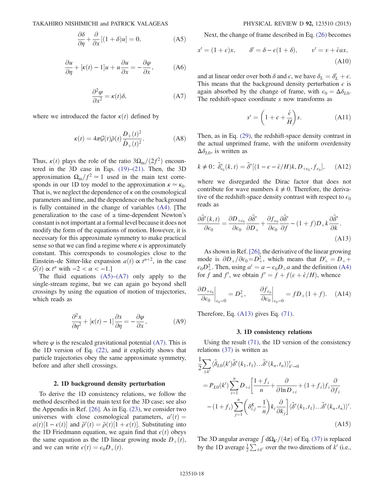$$
\frac{\partial \delta}{\partial \eta} + \frac{\partial}{\partial x} [(1 + \delta)u] = 0, \tag{A5}
$$

$$
\frac{\partial u}{\partial \eta} + [\kappa(t) - 1]u + u \frac{\partial u}{\partial x} = -\frac{\partial \varphi}{\partial x}, \quad (A6)
$$

$$
\frac{\partial^2 \varphi}{\partial x^2} = \kappa(t)\delta, \tag{A7}
$$

where we introduced the factor  $\kappa(t)$  defined by

$$
\kappa(t) = 4\pi \mathcal{G}(t)\bar{\rho}(t)\frac{D_+(t)^2}{\dot{D}_+(t)^2}.
$$
 (A8)

Thus,  $\kappa(t)$  plays the role of the ratio  $3\Omega_{\rm m}/(2f^2)$  encountered in the 3D case in Eqs. (19)–(21). Then, the 3D approximation  $\Omega_{\rm m}/f^2 \simeq 1$  used in the main text corresponds in our 1D toy model to the approximation  $\kappa \simeq \kappa_0$ . That is, we neglect the dependence of  $\kappa$  on the cosmological parameters and time, and the dependence on the background is fully contained in the change of variables (A4). [The generalization to the case of a time-dependent Newton's constant is not important at a formal level because it does not modify the form of the equations of motion. However, it is necessary for this approximate symmetry to make practical sense so that we can find a regime where  $\kappa$  is approximately constant. This corresponds to cosmologies close to the Einstein–de Sitter-like expansion  $a(t) \propto t^{\alpha+2}$ , in the case  $G(t) \propto t^{\alpha}$  with  $-2 < \alpha < -1$  l  $\mathcal{G}(t) \propto t^{\alpha}$  with  $-2 < \alpha < -1$ .]<br>The fluid equations (A5)

The fluid equations  $(A5)$ – $(A7)$  only apply to the single-stream regime, but we can again go beyond shell crossings by using the equation of motion of trajectories, which reads as

$$
\frac{\partial^2 x}{\partial \eta^2} + [\kappa(t) - 1] \frac{\partial x}{\partial \eta} = -\frac{\partial \varphi}{\partial x},
$$
 (A9)

where  $\varphi$  is the rescaled gravitational potential (A7). This is the 1D version of Eq. (22), and it explicitly shows that particle trajectories obey the same approximate symmetry, before and after shell crossings.

#### 2. 1D background density perturbation

To derive the 1D consistency relations, we follow the method described in the main text for the 3D case; see also the Appendix in Ref. [26]. As in Eq. (23), we consider two universes with close cosmological parameters,  $a'(t) = a(t)[1 - \epsilon(t)]$  and  $\bar{a}'(t) = \bar{a}(t)[1 + \epsilon(t)]$  Substituting into  $a(t)[1 - \epsilon(t)]$  and  $\bar{\rho}'(t) = \bar{\rho}(t)[1 + \epsilon(t)]$ . Substituting into the 1D Friedmann equation, we again find that  $\epsilon(t)$  obeys the same equation as the 1D linear growing mode  $D_+(t)$ , and we can write  $\epsilon(t) = \epsilon_0 D_+(t)$ .

Next, the change of frame described in Eq. (26) becomes

$$
x' = (1 + \epsilon)x, \qquad \delta' = \delta - \epsilon(1 + \delta), \qquad v' = v + \dot{\epsilon}ax,
$$
\n(A10)

and at linear order over both  $\delta$  and  $\epsilon$ , we have  $\delta_L = \delta'_L + \epsilon$ .<br>This means that the background density perturbation  $\epsilon$  is This means that the background density perturbation  $\epsilon$  is again absorbed by the change of frame, with  $\epsilon_0 = \Delta \delta_{L0}$ . The redshift-space coordinate  $s$  now transforms as

$$
s' = \left(1 + \epsilon + \frac{\dot{\epsilon}}{H}\right)s.
$$
 (A11)

Then, as in Eq. (29), the redshift-space density contrast in the actual unprimed frame, with the uniform overdensity  $\Delta \delta_{L0}$ , is written as

$$
k \neq 0: \tilde{\delta}^s_{\epsilon_0}(k, t) = \tilde{\delta}^s [(1 - \epsilon - \dot{\epsilon}/H)k, D_{+\epsilon_0}, f_{\epsilon_0}], \quad \text{(A12)}
$$

where we disregarded the Dirac factor that does not contribute for wave numbers  $k \neq 0$ . Therefore, the derivative of the redshift-space density contrast with respect to  $\epsilon_0$ reads as

$$
\frac{\partial \tilde{\delta}^s(k,t)}{\partial \epsilon_0} = \frac{\partial D_{+\epsilon_0}}{\partial \epsilon_0} \frac{\partial \tilde{\delta}^s}{\partial D_+} + \frac{\partial f_{\epsilon_0}}{\partial \epsilon_0} \frac{\partial \tilde{\delta}^s}{\partial f} - (1+f)D_+k \frac{\partial \tilde{\delta}^s}{\partial k}.
$$
\n(A13)

As shown in Ref. [26], the derivative of the linear growing mode is  $\partial D_+/\partial \epsilon_0 = D_+^2$ , which means that  $D_+^{\prime} = D_+ +$ <br>co $D_+^2$ . Then using  $a_+^{\prime} = a_+ c_+ D_-$  a and the definition (A4)  $\epsilon_0 D^2_+$ . Then, using  $a' = a - \epsilon_0 D_+ a$  and the definition (A4)<br>for f and f' we obtain  $f' = f + f(\epsilon + \dot{\epsilon}/H)$  whence for f and f', we obtain  $f' = f + f(\epsilon + \dot{\epsilon}/H)$ , whence

$$
\left. \frac{\partial D_{+\epsilon_0}}{\partial \epsilon_0} \right|_{\epsilon_0 = 0} = D_+^2, \qquad \left. \frac{\partial f_{\epsilon_0}}{\partial \epsilon_0} \right|_{\epsilon_0 = 0} = f D_+(1+f). \tag{A14}
$$

Therefore, Eq. (A13) gives Eq. (71).

#### 3. 1D consistency relations

Using the result (71), the 1D version of the consistency relations (37) is written as

$$
\frac{1}{2} \sum_{\pm k'} \langle \tilde{\delta}_{L0}(k') \tilde{\delta}^s(k_1, t_1) \dots \tilde{\delta}^s(k_n, t_n) \rangle_{k' \to 0}'\n\n= P_{L0}(k') \sum_{i=1}^n D_{+i} \left[ \frac{1+f_i}{n} + \frac{\partial}{\partial \ln D_{+i}} + (1+f_i)f_i \frac{\partial}{\partial f_i}\n\n- (1+f_i) \sum_{j=1}^n \left( \delta_{i,j}^K - \frac{1}{n} \right) k_i \frac{\partial}{\partial k_j} \right] \langle \tilde{\delta}^s(k_1, t_1) \dots \tilde{\delta}^s(k_n, t_n) \rangle'.\n\n(A15)
$$

The 3D angular average  $\int d\Omega_{k'}/(4\pi)$  of Eq. (37) is replaced<br>by the 1D average  $\frac{1}{4}\sum$  over the two directions of k' (i.e. by the 1D average  $\frac{1}{2} \sum_{\pm k'}$  over the two directions of  $k'$  (i.e.,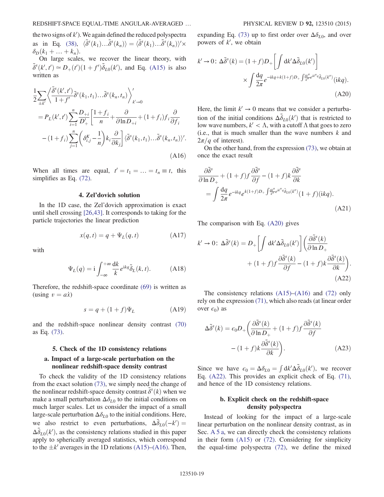the two signs of  $k'$ ). We again defined the reduced polyspectra as in Eq. (38),  $\langle \tilde{\delta}^s(k_1) \dots \tilde{\delta}^s(k_n) \rangle = \langle \tilde{\delta}^s(k_1) \dots \tilde{\delta}^s(k_n) \rangle' \times$  $\delta_D(k_1 + \ldots + k_n)$ .

On large scales, we recover the linear theory, with  $\tilde{\delta}^s(k', t') \approx D_+(t') (1 + f') \tilde{\delta}_{L0}(k')$ , and Eq. (A15) is also written as

$$
\frac{1}{2} \sum_{\pm k'} \left\langle \frac{\tilde{\delta}^{s}(k',t')}{1+f'} \tilde{\delta}^{s}(k_{1},t_{1}) \dots \tilde{\delta}^{s}(k_{n},t_{n}) \right\rangle_{k'\to 0}^{\prime}
$$
\n
$$
= P_{L}(k',t') \sum_{i=1}^{n} \frac{D_{+i}}{D'_{+}} \left[ \frac{1+f_{i}}{n} + \frac{\partial}{\partial \ln D_{+i}} + (1+f_{i}) f_{i} \frac{\partial}{\partial f_{i}} \right]
$$
\n
$$
- (1+f_{i}) \sum_{j=1}^{n} \left( \delta_{i,j}^{K} - \frac{1}{n} \right) k_{i} \frac{\partial}{\partial k_{j}} \left| \langle \tilde{\delta}^{s}(k_{1},t_{1}) \dots \tilde{\delta}^{s}(k_{n},t_{n}) \rangle' .
$$
\n(A16)

When all times are equal,  $t' = t_1 = ... = t_n \equiv t$ , this simplifies as Eq. (72) simplifies as Eq. (72).

### 4. Zel'dovich solution

In the 1D case, the Zel'dovich approximation is exact until shell crossing [26,43]. It corresponds to taking for the particle trajectories the linear prediction

$$
x(q,t) = q + \Psi_L(q,t)
$$
 (A17)

with

$$
\Psi_L(q) = \mathbf{i} \int_{-\infty}^{+\infty} \frac{\mathrm{d}k}{k} e^{\mathbf{i}kq} \tilde{\delta}_L(k, t). \tag{A18}
$$

Therefore, the redshift-space coordinate (69) is written as (using  $v = a\dot{x}$ )

$$
s = q + (1 + f)\Psi_L \tag{A19}
$$

and the redshift-space nonlinear density contrast (70) as Eq. (73).

#### 5. Check of the 1D consistency relations

# a. Impact of a large-scale perturbation on the nonlinear redshift-space density contrast

To check the validity of the 1D consistency relations from the exact solution (73), we simply need the change of the nonlinear redshift-space density contrast  $\tilde{\delta}^s(k)$  when we make a small perturbation  $\Delta \delta_{k\sigma}$  to the initial conditions on make a small perturbation  $\Delta \delta_{L0}$  to the initial conditions on much larger scales. Let us consider the impact of a small large-scale perturbation  $\Delta \delta_{L0}$  to the initial conditions. Here, we also restrict to even perturbations,  $\Delta \tilde{\delta}_{L0}(-k)$  $\Delta \tilde{\delta}_{L0}(k')$ , as the consistency relations studied in this paper<br>apply to spherically averaged statistics, which correspond apply to spherically averaged statistics, which correspond to the  $\pm k'$  averages in the 1D relations (A15)–(A16). Then, expanding Eq. (73) up to first order over  $\Delta \delta_{L0}$ , and over powers of  $k'$ , we obtain

$$
k' \to 0: \Delta \tilde{\delta}^{s}(k) = (1+f)D_{+} \left[ \int \mathrm{d}k' \Delta \tilde{\delta}_{L0}(k') \right]
$$

$$
\times \int \frac{\mathrm{d}q}{2\pi} e^{-ikq+k(1+f)D_{+} \int \frac{\mathrm{d}k''}{k''} e^{ik''q} \tilde{\delta}_{L0}(k'')} (ikq). \tag{A20}
$$

Here, the limit  $k' \rightarrow 0$  means that we consider a perturbation of the initial conditions  $\Delta \tilde{\delta}_{L0}(k')$  that is restricted to low wave numbers  $k' < \Lambda$  with a cutoff  $\Lambda$  that goes to zero low wave numbers,  $k' < Λ$ , with a cutoff Λ that goes to zero (i.e., that is much smaller than the wave numbers  $k$  and  $2\pi/q$  of interest).

On the other hand, from the expression (73), we obtain at once the exact result

$$
\frac{\partial \tilde{\delta}^s}{\partial \ln D_+} + (1+f)f \frac{\partial \tilde{\delta}^s}{\partial f} - (1+f)k \frac{\partial \tilde{\delta}^s}{\partial k} \n= \int \frac{dq}{2\pi} e^{-ikq} e^{k(1+f)D_+ \int \frac{dk''}{k''} e^{ik''q} \tilde{\delta}_{L0}(k'')} (1+f)(ikq).
$$
\n(A21)

The comparison with Eq. (A20) gives

$$
k' \to 0: \ \Delta \tilde{\delta}^s(k) = D_+ \left[ \int \mathrm{d}k' \Delta \tilde{\delta}_{L0}(k') \right] \left( \frac{\partial \tilde{\delta}^s(k)}{\partial \ln D_+} + (1+f)f \frac{\partial \tilde{\delta}^s(k)}{\partial f} - (1+f)k \frac{\partial \tilde{\delta}^s(k)}{\partial k} \right).
$$
\n(A22)

The consistency relations (A15)–(A16) and (72) only rely on the expression (71), which also reads (at linear order over  $\epsilon_0$ ) as

$$
\Delta \tilde{\delta}^{s}(k) = \epsilon_0 D_+ \left( \frac{\partial \tilde{\delta}^{s}(k)}{\partial \ln D_+} + (1+f)f \frac{\partial \tilde{\delta}^{s}(k)}{\partial f} - (1+f)k \frac{\partial \tilde{\delta}^{s}(k)}{\partial k} \right).
$$
\n(A23)

Since we have  $\epsilon_0 = \Delta \delta_{L0} = \int dk' \Delta \tilde{\delta}_{L0}(k')$ , we recover  $E_a$  (4.22). This provides an explicit check of Eq. (7.1). Eq. (A22). This provides an explicit check of Eq. (71), and hence of the 1D consistency relations.

# b. Explicit check on the redshift-space density polyspectra

Instead of looking for the impact of a large-scale linear perturbation on the nonlinear density contrast, as in Sec. A 5 a, we can directly check the consistency relations in their form (A15) or (72). Considering for simplicity the equal-time polyspectra (72), we define the mixed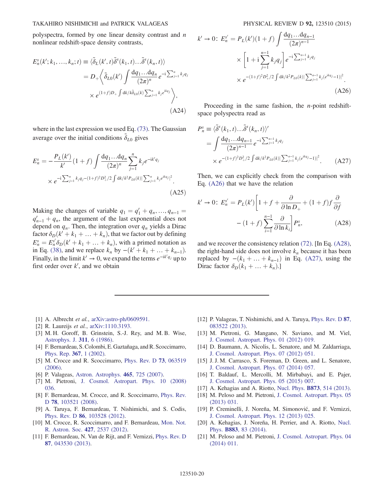polyspectra, formed by one linear density contrast and  $n$ nonlinear redshift-space density contrasts,

$$
E_n^s(k'; k_1, ..., k_n; t) \equiv \langle \tilde{\delta}_L(k', t) \tilde{\delta}^s(k_1, t) ... \tilde{\delta}^s(k_n, t) \rangle
$$
  
=  $D_+ \left\langle \tilde{\delta}_{L0}(k') \int \frac{dq_1 ... dq_n}{(2\pi)^n} e^{-i \sum_{j=1}^n k_j q_j} \right\rangle$   
 $\times e^{(1+f)D_+ \int dk / k \tilde{\delta}_{L0}(k) \sum_{j=1}^n k_j e^{ikq_j}} \rangle,$   
(A24)

where in the last expression we used Eq. (73). The Gaussian average over the initial conditions  $\tilde{\delta}_{L0}$  gives

$$
E_n^s = -\frac{P_L(k')}{k'} (1+f) \int \frac{dq_1 \dots dq_n}{(2\pi)^n} \sum_{j=1}^n k_j e^{-ik'q_j}
$$
  
 
$$
\times e^{-i \sum_{j=1}^n k_j q_j - (1+f)^2 D_+^2/2} \int dk/k^2 P_{L0}(k) |\sum_{j=1}^n k_j e^{ikq_j}|^2.
$$
(A25)

Making the changes of variable  $q_1 = q'_1 + q_n, ..., q_{n-1} =$ <br> $q' + q_n$  the argument of the last exponential does not  $q'_{n-1} + q_n$ , the argument of the last exponential does not<br>depend on a. Then, the integration over a, vields a Dirac depend on  $q_n$ . Then, the integration over  $q_n$  yields a Dirac factor  $\delta_D(k' + k_1 + \dots + k_n)$ , that we factor out by defining  $E_n^s = E_n^{s'} \delta_D(k' + k_1 + \dots + k_n)$ , with a primed notation as<br>in Eq. (38), and we replace  $k$  by  $-(k' + k_1 + \dots + k_{n-1})$ in Eq. (38), and we replace  $k_n$  by  $-(k' + k_1 + ... + k_{n-1})$ . Finally, in the limit  $k' \to 0$ , we expand the terms  $e^{-ik'q_j}$  up to first order over  $k'$ , and we obtain

$$
k' \to 0: E_n^{s'} = P_L(k')(1+f) \int \frac{dq_1...dq_{n-1}}{(2\pi)^{n-1}} \times \left[1+i \sum_{j=1}^{n-1} k_j q_j\right] e^{-i \sum_{j=1}^{n-1} k_j q_j} \times e^{-(1+f)^2 D_+^2/2 \int dk/k^2 P_{L0}(k) |\sum_{j=1}^{n-1} k_j (e^{ikq_j}-1)|^2}.
$$
\n(A26)

Proceeding in the same fashion, the *n*-point redshiftspace polyspectra read as

$$
P_n^s \equiv \langle \tilde{\delta}^s(k_1, t) \dots \tilde{\delta}^s(k_n, t) \rangle'
$$
  
= 
$$
\int \frac{dq_1 \dots dq_{n-1}}{(2\pi)^{n-1}} e^{-i \sum_{j=1}^{n-1} k_j q_j}
$$
  
\$\times e^{-(1+f)^2 D\_+^2/2 \int dk/k^2 P\_{L0}(k)|\sum\_{j=1}^{n-1} k\_j (e^{ikq\_j} - 1)|^2}\$. (A27)

Then, we can explicitly check from the comparison with Eq. (A26) that we have the relation

$$
k' \to 0: E_n^{s'} = P_L(k') \left[ 1 + f + \frac{\partial}{\partial \ln D_+} + (1 + f) f \frac{\partial}{\partial f} \right]
$$

$$
- (1 + f) \sum_{i=1}^{n-1} \frac{\partial}{\partial \ln k_i} P_n^s, \tag{A28}
$$

and we recover the consistency relation (72). [In Eq. (A28), the right-hand side does not involve  $k_n$  because it has been replaced by  $-(k_1 + \ldots + k_{n-1})$  in Eq. (A27), using the Dirac factor  $\delta_D(k_1 + \ldots + k_n)$ .]

- [1] A. Albrecht et al., [arXiv:astro-ph/0609591.](http://arXiv.org/abs/astro-ph/0609591)
- [2] R. Laureijs *et al.*, [arXiv:1110.3193.](http://arXiv.org/abs/1110.3193)
- [3] M. H. Goroff, B. Grinstein, S.-J. Rey, and M. B. Wise, [Astrophys. J.](http://dx.doi.org/10.1086/164749) 311, 6 (1986).
- [4] F. Bernardeau, S. Colombi, E. Gaztañaga, and R. Scoccimarro, [Phys. Rep.](http://dx.doi.org/10.1016/S0370-1573(02)00135-7) 367, 1 (2002).
- [5] M. Crocce and R. Scoccimarro, [Phys. Rev. D](http://dx.doi.org/10.1103/PhysRevD.73.063519) 73, 063519  $(2006)$ .
- [6] P. Valageas, [Astron. Astrophys.](http://dx.doi.org/10.1051/0004-6361:20066832) 465, 725 (2007).
- [7] M. Pietroni, [J. Cosmol. Astropart. Phys. 10 \(2008\)](http://dx.doi.org/10.1088/1475-7516/2008/10/036) [036.](http://dx.doi.org/10.1088/1475-7516/2008/10/036)
- [8] F. Bernardeau, M. Crocce, and R. Scoccimarro, [Phys. Rev.](http://dx.doi.org/10.1103/PhysRevD.78.103521) D **78**[, 103521 \(2008\)](http://dx.doi.org/10.1103/PhysRevD.78.103521).
- [9] A. Taruya, F. Bernardeau, T. Nishimichi, and S. Codis, Phys. Rev. D 86[, 103528 \(2012\)](http://dx.doi.org/10.1103/PhysRevD.86.103528).
- [10] M. Crocce, R. Scoccimarro, and F. Bernardeau, [Mon. Not.](http://dx.doi.org/10.1111/j.1365-2966.2012.22127.x) [R. Astron. Soc.](http://dx.doi.org/10.1111/j.1365-2966.2012.22127.x) 427, 2537 (2012).
- [11] F. Bernardeau, N. Van de Rijt, and F. Vernizzi, [Phys. Rev. D](http://dx.doi.org/10.1103/PhysRevD.87.043530). 87[, 043530 \(2013\).](http://dx.doi.org/10.1103/PhysRevD.87.043530)
- [12] P. Valageas, T. Nishimichi, and A. Taruya, [Phys. Rev. D](http://dx.doi.org/10.1103/PhysRevD.87.083522) 87, [083522 \(2013\).](http://dx.doi.org/10.1103/PhysRevD.87.083522)
- [13] M. Pietroni, G. Mangano, N. Saviano, and M. Viel, [J. Cosmol. Astropart. Phys. 01 \(2012\) 019.](http://dx.doi.org/10.1088/1475-7516/2012/01/019)
- [14] D. Baumann, A. Nicolis, L. Senatore, and M. Zaldarriaga, [J. Cosmol. Astropart. Phys. 07 \(2012\) 051.](http://dx.doi.org/10.1088/1475-7516/2012/07/051)
- [15] J. J. M. Carrasco, S. Foreman, D. Green, and L. Senatore, [J. Cosmol. Astropart. Phys. 07 \(2014\) 057.](http://dx.doi.org/10.1088/1475-7516/2014/07/057)
- [16] T. Baldauf, L. Mercolli, M. Mirbabayi, and E. Pajer, [J. Cosmol. Astropart. Phys. 05 \(2015\) 007.](http://dx.doi.org/10.1088/1475-7516/2015/05/007)
- [17] A. Kehagias and A. Riotto, Nucl. Phys. **B873**[, 514 \(2013\).](http://dx.doi.org/10.1016/j.nuclphysb.2013.05.009)
- [18] M. Peloso and M. Pietroni, [J. Cosmol. Astropart. Phys. 05](http://dx.doi.org/10.1088/1475-7516/2013/05/031) [\(2013\) 031.](http://dx.doi.org/10.1088/1475-7516/2013/05/031)
- [19] P. Creminelli, J. Noreña, M. Simonović, and F. Vernizzi, [J. Cosmol. Astropart. Phys. 12 \(2013\) 025.](http://dx.doi.org/10.1088/1475-7516/2013/12/025)
- [20] A. Kehagias, J. Noreña, H. Perrier, and A. Riotto, [Nucl.](http://dx.doi.org/10.1016/j.nuclphysb.2014.03.020) Phys. B883[, 83 \(2014\)](http://dx.doi.org/10.1016/j.nuclphysb.2014.03.020).
- [21] M. Peloso and M. Pietroni, [J. Cosmol. Astropart. Phys. 04](http://dx.doi.org/10.1088/1475-7516/2014/04/011) [\(2014\) 011.](http://dx.doi.org/10.1088/1475-7516/2014/04/011)